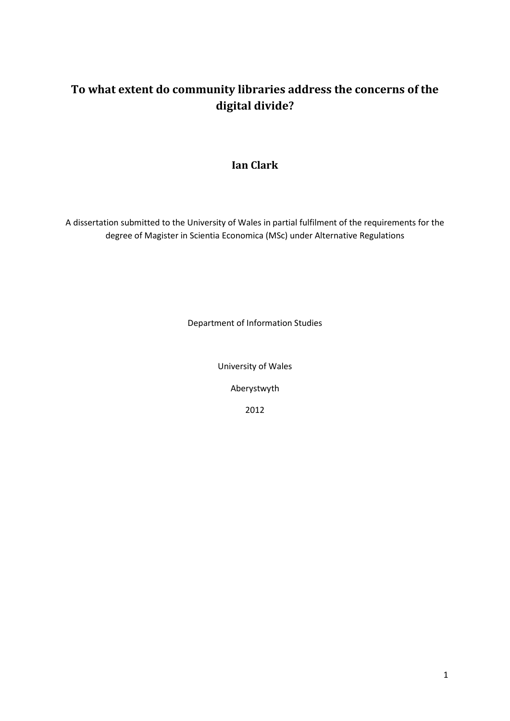# **To what extent do community libraries address the concerns of the digital divide?**

# **Ian Clark**

A dissertation submitted to the University of Wales in partial fulfilment of the requirements for the degree of Magister in Scientia Economica (MSc) under Alternative Regulations

Department of Information Studies

University of Wales

Aberystwyth

2012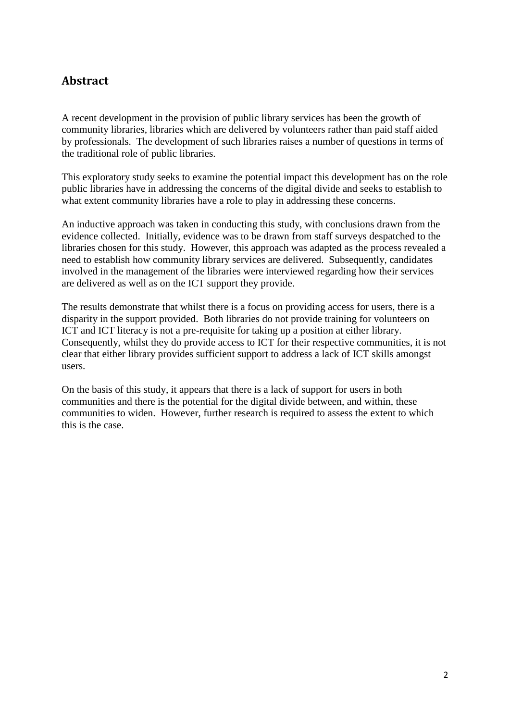# **Abstract**

A recent development in the provision of public library services has been the growth of community libraries, libraries which are delivered by volunteers rather than paid staff aided by professionals. The development of such libraries raises a number of questions in terms of the traditional role of public libraries.

This exploratory study seeks to examine the potential impact this development has on the role public libraries have in addressing the concerns of the digital divide and seeks to establish to what extent community libraries have a role to play in addressing these concerns.

An inductive approach was taken in conducting this study, with conclusions drawn from the evidence collected. Initially, evidence was to be drawn from staff surveys despatched to the libraries chosen for this study. However, this approach was adapted as the process revealed a need to establish how community library services are delivered. Subsequently, candidates involved in the management of the libraries were interviewed regarding how their services are delivered as well as on the ICT support they provide.

The results demonstrate that whilst there is a focus on providing access for users, there is a disparity in the support provided. Both libraries do not provide training for volunteers on ICT and ICT literacy is not a pre-requisite for taking up a position at either library. Consequently, whilst they do provide access to ICT for their respective communities, it is not clear that either library provides sufficient support to address a lack of ICT skills amongst users.

On the basis of this study, it appears that there is a lack of support for users in both communities and there is the potential for the digital divide between, and within, these communities to widen. However, further research is required to assess the extent to which this is the case.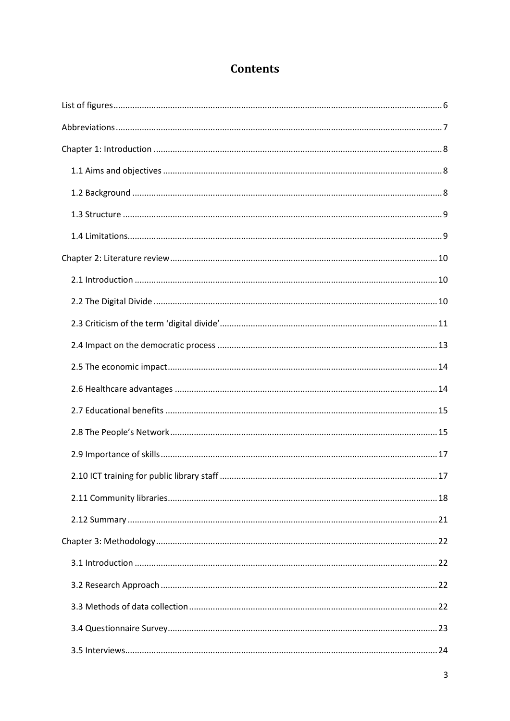# **Contents**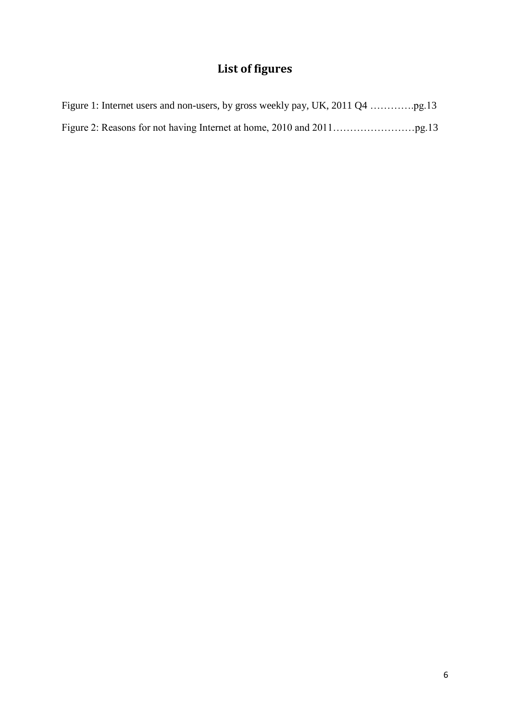# **List of figures**

<span id="page-5-0"></span>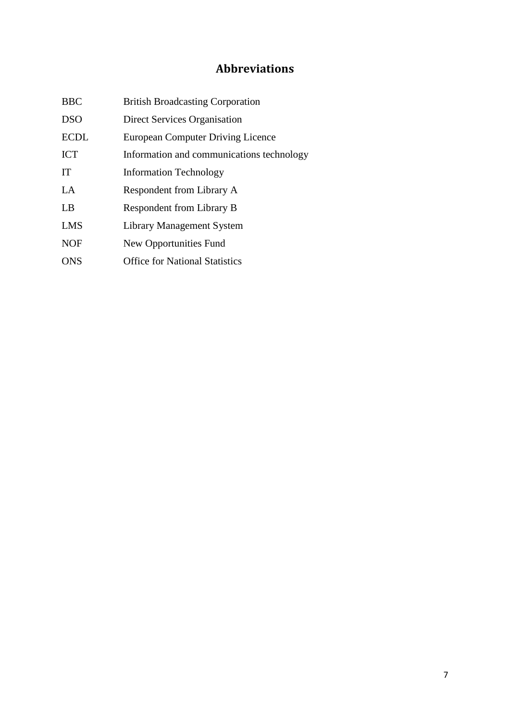# **Abbreviations**

<span id="page-6-0"></span>

| <b>BBC</b>  | <b>British Broadcasting Corporation</b>   |
|-------------|-------------------------------------------|
| <b>DSO</b>  | Direct Services Organisation              |
| <b>ECDL</b> | <b>European Computer Driving Licence</b>  |
| <b>ICT</b>  | Information and communications technology |
| <b>IT</b>   | <b>Information Technology</b>             |
| LA          | Respondent from Library A                 |
| LB          | Respondent from Library B                 |
| <b>LMS</b>  | Library Management System                 |
| <b>NOF</b>  | New Opportunities Fund                    |
| <b>ONS</b>  | <b>Office for National Statistics</b>     |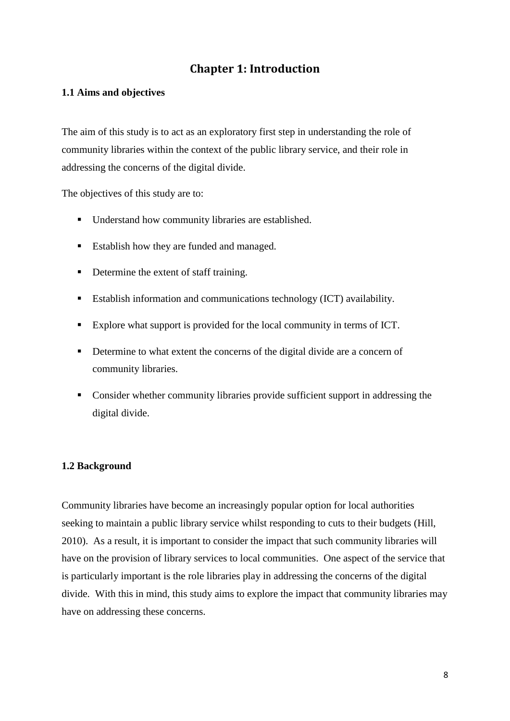# **Chapter 1: Introduction**

## <span id="page-7-1"></span><span id="page-7-0"></span>**1.1 Aims and objectives**

The aim of this study is to act as an exploratory first step in understanding the role of community libraries within the context of the public library service, and their role in addressing the concerns of the digital divide.

The objectives of this study are to:

- Understand how community libraries are established.
- Establish how they are funded and managed.
- Determine the extent of staff training.
- Establish information and communications technology (ICT) availability.
- Explore what support is provided for the local community in terms of ICT.
- Determine to what extent the concerns of the digital divide are a concern of community libraries.
- Consider whether community libraries provide sufficient support in addressing the digital divide.

## <span id="page-7-2"></span>**1.2 Background**

Community libraries have become an increasingly popular option for local authorities seeking to maintain a public library service whilst responding to cuts to their budgets (Hill, 2010). As a result, it is important to consider the impact that such community libraries will have on the provision of library services to local communities. One aspect of the service that is particularly important is the role libraries play in addressing the concerns of the digital divide. With this in mind, this study aims to explore the impact that community libraries may have on addressing these concerns.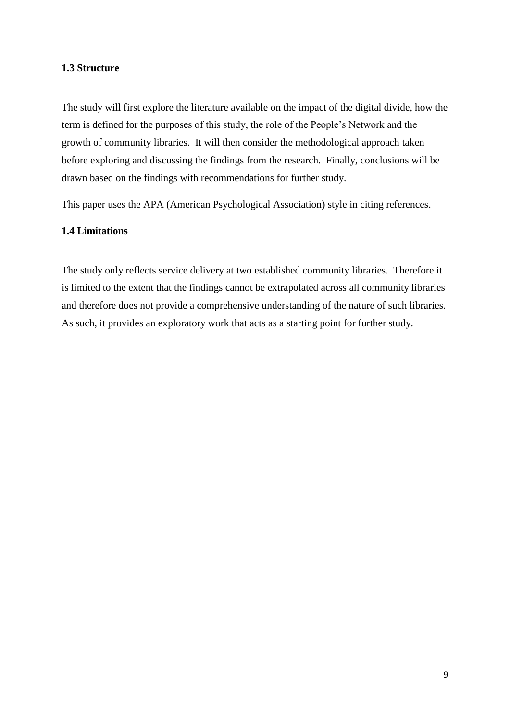### <span id="page-8-0"></span>**1.3 Structure**

The study will first explore the literature available on the impact of the digital divide, how the term is defined for the purposes of this study, the role of the People's Network and the growth of community libraries. It will then consider the methodological approach taken before exploring and discussing the findings from the research. Finally, conclusions will be drawn based on the findings with recommendations for further study.

This paper uses the APA (American Psychological Association) style in citing references.

## <span id="page-8-1"></span>**1.4 Limitations**

The study only reflects service delivery at two established community libraries. Therefore it is limited to the extent that the findings cannot be extrapolated across all community libraries and therefore does not provide a comprehensive understanding of the nature of such libraries. As such, it provides an exploratory work that acts as a starting point for further study.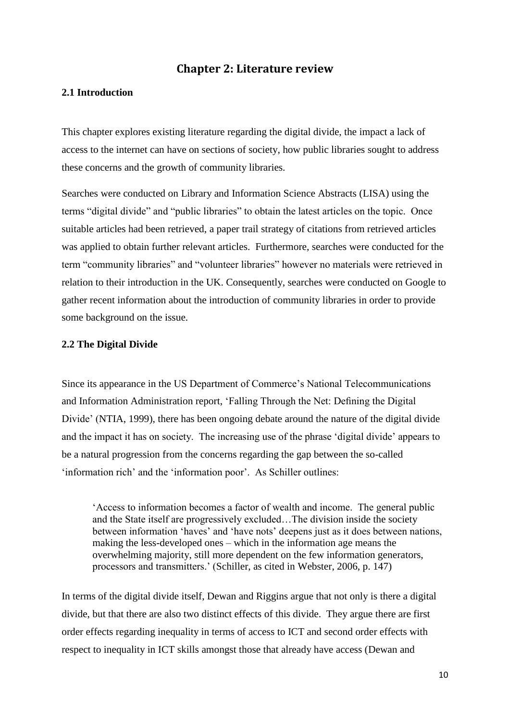## **Chapter 2: Literature review**

## <span id="page-9-1"></span><span id="page-9-0"></span>**2.1 Introduction**

This chapter explores existing literature regarding the digital divide, the impact a lack of access to the internet can have on sections of society, how public libraries sought to address these concerns and the growth of community libraries.

Searches were conducted on Library and Information Science Abstracts (LISA) using the terms "digital divide" and "public libraries" to obtain the latest articles on the topic. Once suitable articles had been retrieved, a paper trail strategy of citations from retrieved articles was applied to obtain further relevant articles. Furthermore, searches were conducted for the term "community libraries" and "volunteer libraries" however no materials were retrieved in relation to their introduction in the UK. Consequently, searches were conducted on Google to gather recent information about the introduction of community libraries in order to provide some background on the issue.

#### <span id="page-9-2"></span>**2.2 The Digital Divide**

Since its appearance in the US Department of Commerce's National Telecommunications and Information Administration report, 'Falling Through the Net: Defining the Digital Divide' (NTIA, 1999), there has been ongoing debate around the nature of the digital divide and the impact it has on society. The increasing use of the phrase 'digital divide' appears to be a natural progression from the concerns regarding the gap between the so-called 'information rich' and the 'information poor'. As Schiller outlines:

'Access to information becomes a factor of wealth and income. The general public and the State itself are progressively excluded…The division inside the society between information 'haves' and 'have nots' deepens just as it does between nations, making the less-developed ones – which in the information age means the overwhelming majority, still more dependent on the few information generators, processors and transmitters.' (Schiller, as cited in Webster, 2006, p. 147)

In terms of the digital divide itself, Dewan and Riggins argue that not only is there a digital divide, but that there are also two distinct effects of this divide. They argue there are first order effects regarding inequality in terms of access to ICT and second order effects with respect to inequality in ICT skills amongst those that already have access (Dewan and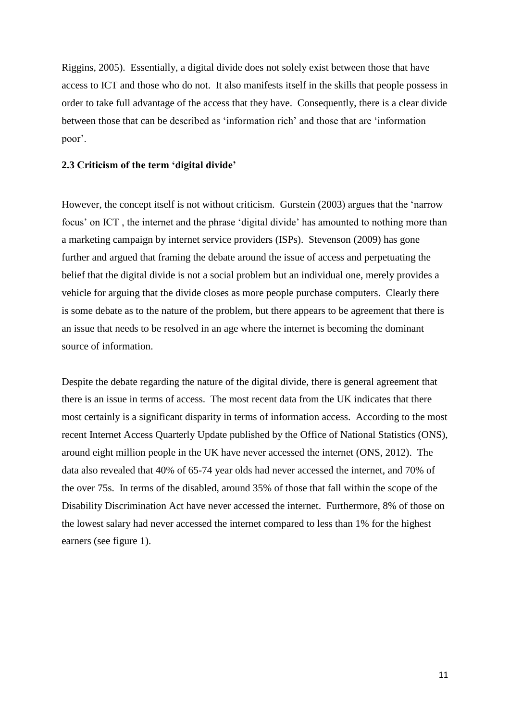Riggins, 2005). Essentially, a digital divide does not solely exist between those that have access to ICT and those who do not. It also manifests itself in the skills that people possess in order to take full advantage of the access that they have. Consequently, there is a clear divide between those that can be described as 'information rich' and those that are 'information poor'.

### <span id="page-10-0"></span>**2.3 Criticism of the term 'digital divide'**

However, the concept itself is not without criticism. Gurstein (2003) argues that the 'narrow focus' on ICT , the internet and the phrase 'digital divide' has amounted to nothing more than a marketing campaign by internet service providers (ISPs). Stevenson (2009) has gone further and argued that framing the debate around the issue of access and perpetuating the belief that the digital divide is not a social problem but an individual one, merely provides a vehicle for arguing that the divide closes as more people purchase computers. Clearly there is some debate as to the nature of the problem, but there appears to be agreement that there is an issue that needs to be resolved in an age where the internet is becoming the dominant source of information.

Despite the debate regarding the nature of the digital divide, there is general agreement that there is an issue in terms of access. The most recent data from the UK indicates that there most certainly is a significant disparity in terms of information access. According to the most recent Internet Access Quarterly Update published by the Office of National Statistics (ONS), around eight million people in the UK have never accessed the internet (ONS, 2012). The data also revealed that 40% of 65-74 year olds had never accessed the internet, and 70% of the over 75s. In terms of the disabled, around 35% of those that fall within the scope of the Disability Discrimination Act have never accessed the internet. Furthermore, 8% of those on the lowest salary had never accessed the internet compared to less than 1% for the highest earners (see figure 1).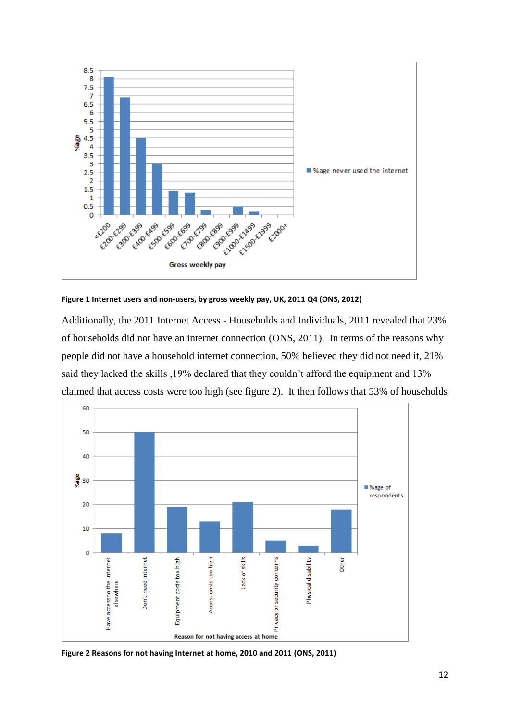

**Figure 1 Internet users and non-users, by gross weekly pay, UK, 2011 Q4 (ONS, 2012)**

Additionally, the 2011 Internet Access - Households and Individuals, 2011 revealed that 23% of households did not have an internet connection (ONS, 2011). In terms of the reasons why people did not have a household internet connection, 50% believed they did not need it, 21% said they lacked the skills ,19% declared that they couldn't afford the equipment and 13% claimed that access costs were too high (see figure 2). It then follows that 53% of households



**Figure 2 Reasons for not having Internet at home, 2010 and 2011 (ONS, 2011)**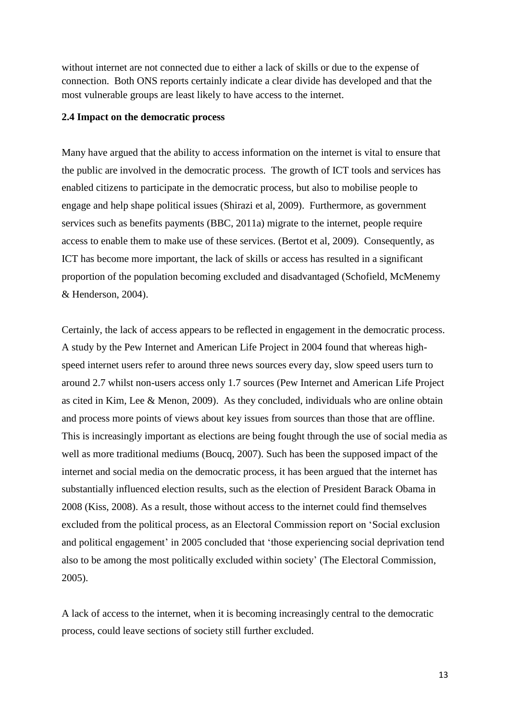without internet are not connected due to either a lack of skills or due to the expense of connection. Both ONS reports certainly indicate a clear divide has developed and that the most vulnerable groups are least likely to have access to the internet.

#### <span id="page-12-0"></span>**2.4 Impact on the democratic process**

Many have argued that the ability to access information on the internet is vital to ensure that the public are involved in the democratic process. The growth of ICT tools and services has enabled citizens to participate in the democratic process, but also to mobilise people to engage and help shape political issues (Shirazi et al, 2009). Furthermore, as government services such as benefits payments (BBC, 2011a) migrate to the internet, people require access to enable them to make use of these services. (Bertot et al, 2009). Consequently, as ICT has become more important, the lack of skills or access has resulted in a significant proportion of the population becoming excluded and disadvantaged (Schofield, McMenemy & Henderson, 2004).

Certainly, the lack of access appears to be reflected in engagement in the democratic process. A study by the Pew Internet and American Life Project in 2004 found that whereas highspeed internet users refer to around three news sources every day, slow speed users turn to around 2.7 whilst non-users access only 1.7 sources (Pew Internet and American Life Project as cited in Kim, Lee & Menon, 2009). As they concluded, individuals who are online obtain and process more points of views about key issues from sources than those that are offline. This is increasingly important as elections are being fought through the use of social media as well as more traditional mediums (Boucq, 2007). Such has been the supposed impact of the internet and social media on the democratic process, it has been argued that the internet has substantially influenced election results, such as the election of President Barack Obama in 2008 (Kiss, 2008). As a result, those without access to the internet could find themselves excluded from the political process, as an Electoral Commission report on 'Social exclusion and political engagement' in 2005 concluded that 'those experiencing social deprivation tend also to be among the most politically excluded within society' (The Electoral Commission, 2005).

A lack of access to the internet, when it is becoming increasingly central to the democratic process, could leave sections of society still further excluded.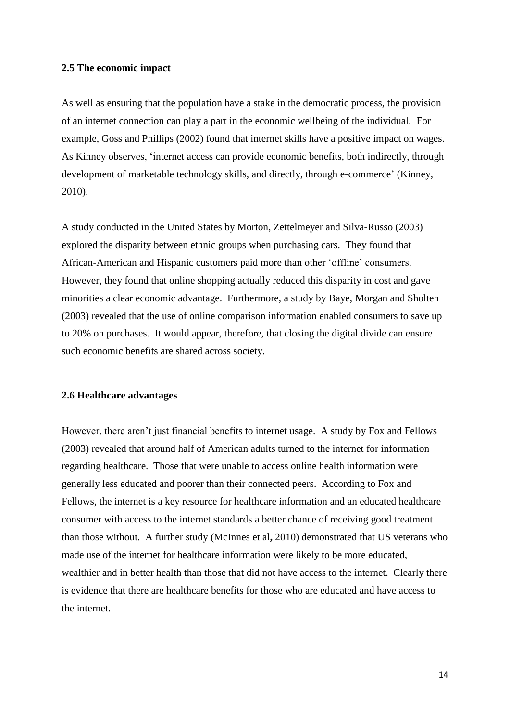#### <span id="page-13-0"></span>**2.5 The economic impact**

As well as ensuring that the population have a stake in the democratic process, the provision of an internet connection can play a part in the economic wellbeing of the individual. For example, Goss and Phillips (2002) found that internet skills have a positive impact on wages. As Kinney observes, 'internet access can provide economic benefits, both indirectly, through development of marketable technology skills, and directly, through e-commerce' (Kinney, 2010).

A study conducted in the United States by Morton, Zettelmeyer and Silva-Russo (2003) explored the disparity between ethnic groups when purchasing cars. They found that African-American and Hispanic customers paid more than other 'offline' consumers. However, they found that online shopping actually reduced this disparity in cost and gave minorities a clear economic advantage. Furthermore, a study by Baye, Morgan and Sholten (2003) revealed that the use of online comparison information enabled consumers to save up to 20% on purchases. It would appear, therefore, that closing the digital divide can ensure such economic benefits are shared across society.

#### <span id="page-13-1"></span>**2.6 Healthcare advantages**

However, there aren't just financial benefits to internet usage. A study by Fox and Fellows (2003) revealed that around half of American adults turned to the internet for information regarding healthcare. Those that were unable to access online health information were generally less educated and poorer than their connected peers. According to Fox and Fellows, the internet is a key resource for healthcare information and an educated healthcare consumer with access to the internet standards a better chance of receiving good treatment than those without. A further study (McInnes et al**,** 2010) demonstrated that US veterans who made use of the internet for healthcare information were likely to be more educated, wealthier and in better health than those that did not have access to the internet. Clearly there is evidence that there are healthcare benefits for those who are educated and have access to the internet.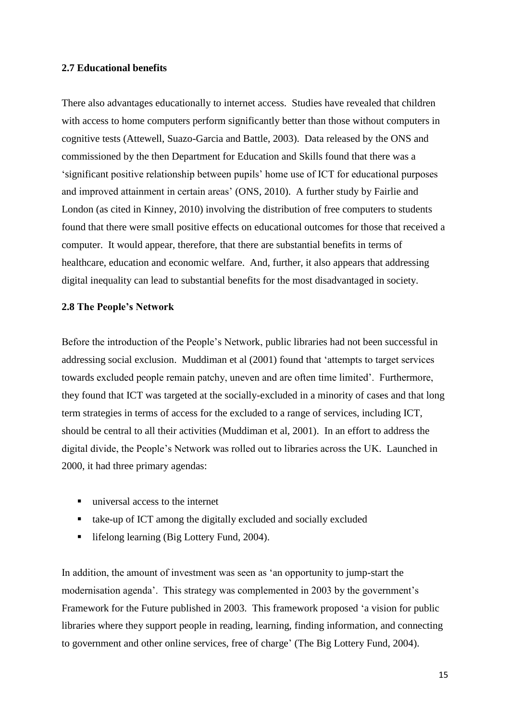#### <span id="page-14-0"></span>**2.7 Educational benefits**

There also advantages educationally to internet access. Studies have revealed that children with access to home computers perform significantly better than those without computers in cognitive tests (Attewell, Suazo-Garcia and Battle, 2003). Data released by the ONS and commissioned by the then Department for Education and Skills found that there was a 'significant positive relationship between pupils' home use of ICT for educational purposes and improved attainment in certain areas' (ONS, 2010). A further study by Fairlie and London (as cited in Kinney, 2010) involving the distribution of free computers to students found that there were small positive effects on educational outcomes for those that received a computer. It would appear, therefore, that there are substantial benefits in terms of healthcare, education and economic welfare. And, further, it also appears that addressing digital inequality can lead to substantial benefits for the most disadvantaged in society.

#### <span id="page-14-1"></span>**2.8 The People's Network**

Before the introduction of the People's Network, public libraries had not been successful in addressing social exclusion. Muddiman et al (2001) found that 'attempts to target services towards excluded people remain patchy, uneven and are often time limited'. Furthermore, they found that ICT was targeted at the socially-excluded in a minority of cases and that long term strategies in terms of access for the excluded to a range of services, including ICT, should be central to all their activities (Muddiman et al, 2001). In an effort to address the digital divide, the People's Network was rolled out to libraries across the UK. Launched in 2000, it had three primary agendas:

- universal access to the internet
- take-up of ICT among the digitally excluded and socially excluded
- lifelong learning (Big Lottery Fund, 2004).

In addition, the amount of investment was seen as 'an opportunity to jump-start the modernisation agenda'. This strategy was complemented in 2003 by the government's Framework for the Future published in 2003. This framework proposed 'a vision for public libraries where they support people in reading, learning, finding information, and connecting to government and other online services, free of charge' (The Big Lottery Fund, 2004).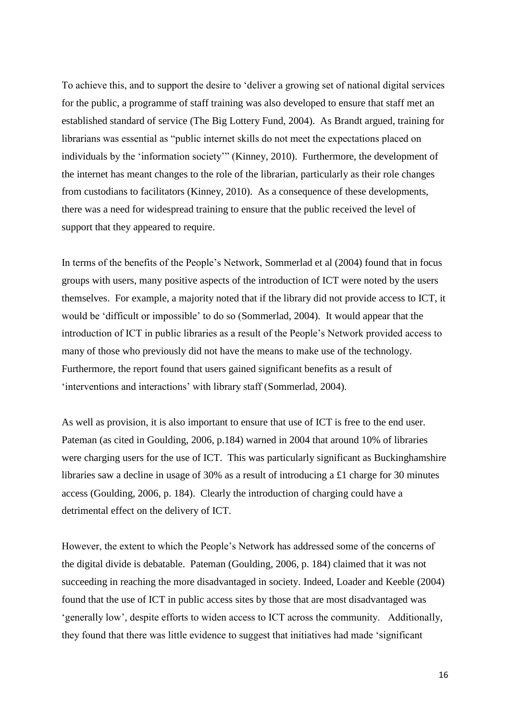To achieve this, and to support the desire to 'deliver a growing set of national digital services for the public, a programme of staff training was also developed to ensure that staff met an established standard of service (The Big Lottery Fund, 2004). As Brandt argued, training for librarians was essential as "public internet skills do not meet the expectations placed on individuals by the 'information society'" (Kinney, 2010). Furthermore, the development of the internet has meant changes to the role of the librarian, particularly as their role changes from custodians to facilitators (Kinney, 2010). As a consequence of these developments, there was a need for widespread training to ensure that the public received the level of support that they appeared to require.

In terms of the benefits of the People's Network, Sommerlad et al (2004) found that in focus groups with users, many positive aspects of the introduction of ICT were noted by the users themselves. For example, a majority noted that if the library did not provide access to ICT, it would be 'difficult or impossible' to do so (Sommerlad, 2004). It would appear that the introduction of ICT in public libraries as a result of the People's Network provided access to many of those who previously did not have the means to make use of the technology. Furthermore, the report found that users gained significant benefits as a result of 'interventions and interactions' with library staff (Sommerlad, 2004).

As well as provision, it is also important to ensure that use of ICT is free to the end user. Pateman (as cited in Goulding, 2006, p.184) warned in 2004 that around 10% of libraries were charging users for the use of ICT. This was particularly significant as Buckinghamshire libraries saw a decline in usage of 30% as a result of introducing a £1 charge for 30 minutes access (Goulding, 2006, p. 184). Clearly the introduction of charging could have a detrimental effect on the delivery of ICT.

However, the extent to which the People's Network has addressed some of the concerns of the digital divide is debatable. Pateman (Goulding, 2006, p. 184) claimed that it was not succeeding in reaching the more disadvantaged in society. Indeed, Loader and Keeble (2004) found that the use of ICT in public access sites by those that are most disadvantaged was 'generally low', despite efforts to widen access to ICT across the community. Additionally, they found that there was little evidence to suggest that initiatives had made 'significant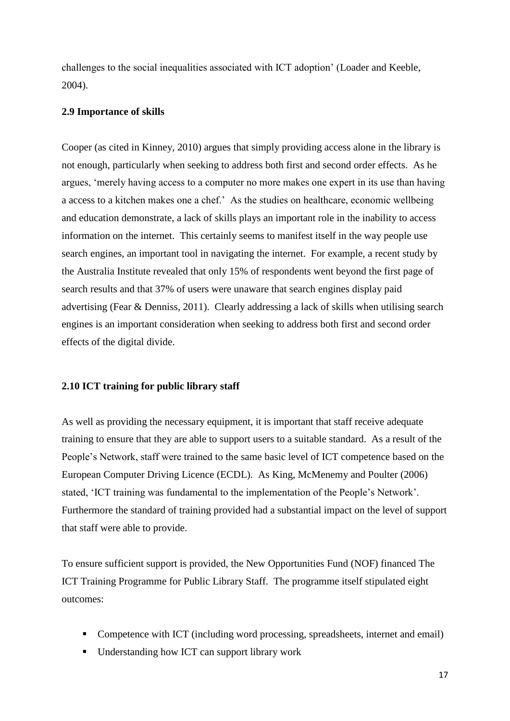challenges to the social inequalities associated with ICT adoption' (Loader and Keeble, 2004).

#### <span id="page-16-0"></span>**2.9 Importance of skills**

Cooper (as cited in Kinney, 2010) argues that simply providing access alone in the library is not enough, particularly when seeking to address both first and second order effects. As he argues, 'merely having access to a computer no more makes one expert in its use than having a access to a kitchen makes one a chef.' As the studies on healthcare, economic wellbeing and education demonstrate, a lack of skills plays an important role in the inability to access information on the internet. This certainly seems to manifest itself in the way people use search engines, an important tool in navigating the internet. For example, a recent study by the Australia Institute revealed that only 15% of respondents went beyond the first page of search results and that 37% of users were unaware that search engines display paid advertising (Fear & Denniss, 2011). Clearly addressing a lack of skills when utilising search engines is an important consideration when seeking to address both first and second order effects of the digital divide.

#### <span id="page-16-1"></span>**2.10 ICT training for public library staff**

As well as providing the necessary equipment, it is important that staff receive adequate training to ensure that they are able to support users to a suitable standard. As a result of the People's Network, staff were trained to the same basic level of ICT competence based on the European Computer Driving Licence (ECDL). As King, McMenemy and Poulter (2006) stated, 'ICT training was fundamental to the implementation of the People's Network'. Furthermore the standard of training provided had a substantial impact on the level of support that staff were able to provide.

To ensure sufficient support is provided, the New Opportunities Fund (NOF) financed The ICT Training Programme for Public Library Staff. The programme itself stipulated eight outcomes:

- Competence with ICT (including word processing, spreadsheets, internet and email)
- Understanding how ICT can support library work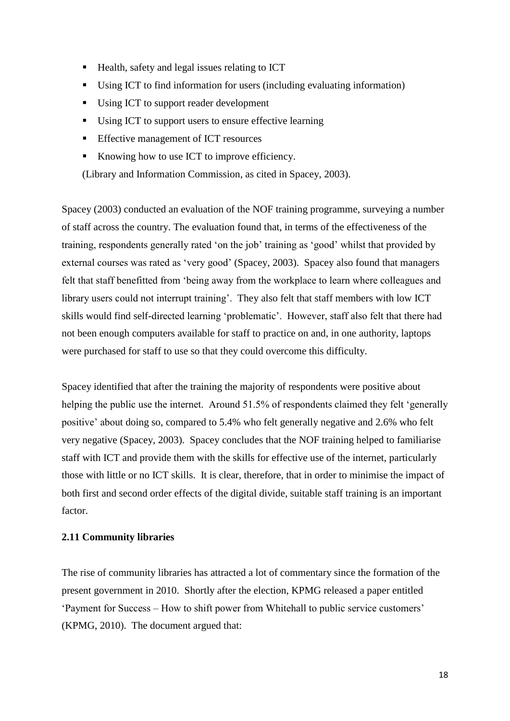- Health, safety and legal issues relating to ICT
- Using ICT to find information for users (including evaluating information)
- Using ICT to support reader development
- Using ICT to support users to ensure effective learning
- **Effective management of ICT resources**
- Knowing how to use ICT to improve efficiency.

(Library and Information Commission, as cited in Spacey, 2003).

Spacey (2003) conducted an evaluation of the NOF training programme, surveying a number of staff across the country. The evaluation found that, in terms of the effectiveness of the training, respondents generally rated 'on the job' training as 'good' whilst that provided by external courses was rated as 'very good' (Spacey, 2003). Spacey also found that managers felt that staff benefitted from 'being away from the workplace to learn where colleagues and library users could not interrupt training'. They also felt that staff members with low ICT skills would find self-directed learning 'problematic'. However, staff also felt that there had not been enough computers available for staff to practice on and, in one authority, laptops were purchased for staff to use so that they could overcome this difficulty.

Spacey identified that after the training the majority of respondents were positive about helping the public use the internet. Around 51.5% of respondents claimed they felt 'generally positive' about doing so, compared to 5.4% who felt generally negative and 2.6% who felt very negative (Spacey, 2003). Spacey concludes that the NOF training helped to familiarise staff with ICT and provide them with the skills for effective use of the internet, particularly those with little or no ICT skills. It is clear, therefore, that in order to minimise the impact of both first and second order effects of the digital divide, suitable staff training is an important factor.

## <span id="page-17-0"></span>**2.11 Community libraries**

The rise of community libraries has attracted a lot of commentary since the formation of the present government in 2010. Shortly after the election, KPMG released a paper entitled 'Payment for Success – How to shift power from Whitehall to public service customers' (KPMG, 2010). The document argued that: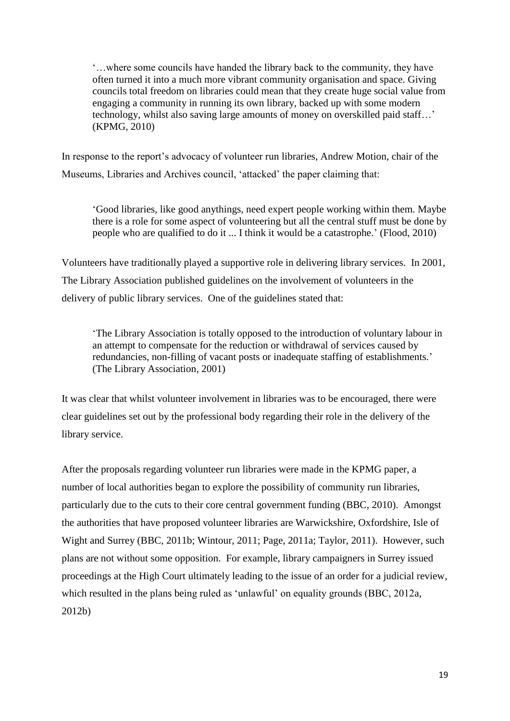'…where some councils have handed the library back to the community, they have often turned it into a much more vibrant community organisation and space. Giving councils total freedom on libraries could mean that they create huge social value from engaging a community in running its own library, backed up with some modern technology, whilst also saving large amounts of money on overskilled paid staff…' (KPMG, 2010)

In response to the report's advocacy of volunteer run libraries, Andrew Motion, chair of the Museums, Libraries and Archives council, 'attacked' the paper claiming that:

'Good libraries, like good anythings, need expert people working within them. Maybe there is a role for some aspect of volunteering but all the central stuff must be done by people who are qualified to do it ... I think it would be a catastrophe.' (Flood, 2010)

Volunteers have traditionally played a supportive role in delivering library services. In 2001, The Library Association published guidelines on the involvement of volunteers in the delivery of public library services. One of the guidelines stated that:

'The Library Association is totally opposed to the introduction of voluntary labour in an attempt to compensate for the reduction or withdrawal of services caused by redundancies, non-filling of vacant posts or inadequate staffing of establishments.' (The Library Association, 2001)

It was clear that whilst volunteer involvement in libraries was to be encouraged, there were clear guidelines set out by the professional body regarding their role in the delivery of the library service.

After the proposals regarding volunteer run libraries were made in the KPMG paper, a number of local authorities began to explore the possibility of community run libraries, particularly due to the cuts to their core central government funding (BBC, 2010). Amongst the authorities that have proposed volunteer libraries are Warwickshire, Oxfordshire, Isle of Wight and Surrey (BBC, 2011b; Wintour, 2011; Page, 2011a; Taylor, 2011). However, such plans are not without some opposition. For example, library campaigners in Surrey issued proceedings at the High Court ultimately leading to the issue of an order for a judicial review, which resulted in the plans being ruled as 'unlawful' on equality grounds (BBC, 2012a, 2012b)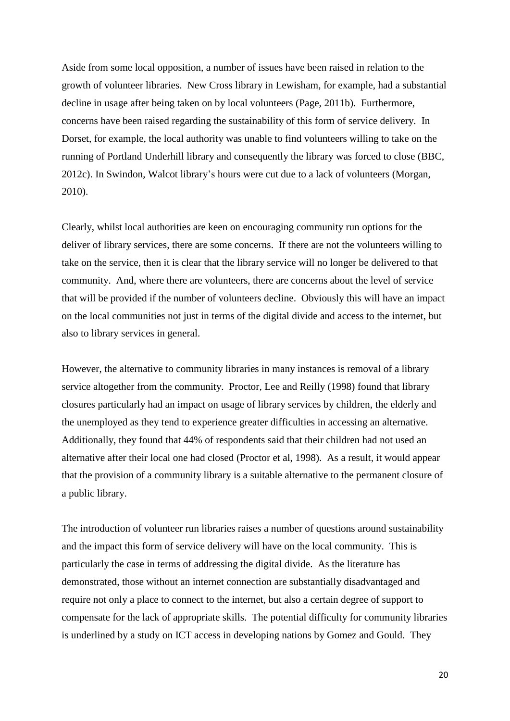Aside from some local opposition, a number of issues have been raised in relation to the growth of volunteer libraries. New Cross library in Lewisham, for example, had a substantial decline in usage after being taken on by local volunteers (Page, 2011b). Furthermore, concerns have been raised regarding the sustainability of this form of service delivery. In Dorset, for example, the local authority was unable to find volunteers willing to take on the running of Portland Underhill library and consequently the library was forced to close (BBC, 2012c). In Swindon, Walcot library's hours were cut due to a lack of volunteers (Morgan, 2010).

Clearly, whilst local authorities are keen on encouraging community run options for the deliver of library services, there are some concerns. If there are not the volunteers willing to take on the service, then it is clear that the library service will no longer be delivered to that community. And, where there are volunteers, there are concerns about the level of service that will be provided if the number of volunteers decline. Obviously this will have an impact on the local communities not just in terms of the digital divide and access to the internet, but also to library services in general.

However, the alternative to community libraries in many instances is removal of a library service altogether from the community. Proctor, Lee and Reilly (1998) found that library closures particularly had an impact on usage of library services by children, the elderly and the unemployed as they tend to experience greater difficulties in accessing an alternative. Additionally, they found that 44% of respondents said that their children had not used an alternative after their local one had closed (Proctor et al, 1998). As a result, it would appear that the provision of a community library is a suitable alternative to the permanent closure of a public library.

The introduction of volunteer run libraries raises a number of questions around sustainability and the impact this form of service delivery will have on the local community. This is particularly the case in terms of addressing the digital divide. As the literature has demonstrated, those without an internet connection are substantially disadvantaged and require not only a place to connect to the internet, but also a certain degree of support to compensate for the lack of appropriate skills. The potential difficulty for community libraries is underlined by a study on ICT access in developing nations by Gomez and Gould. They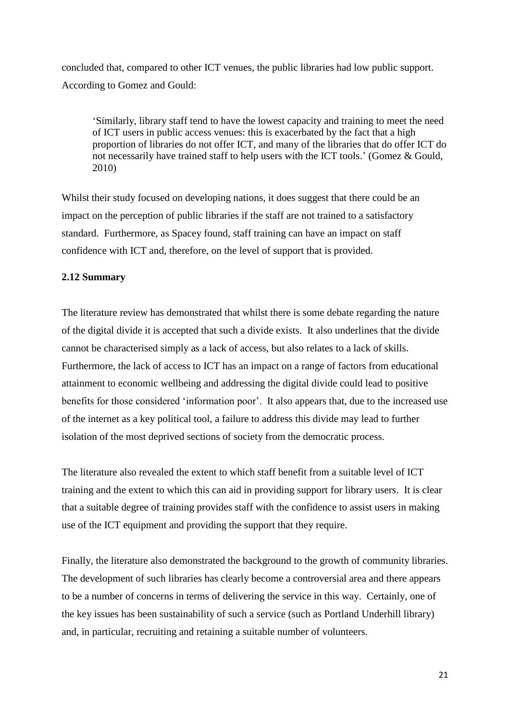concluded that, compared to other ICT venues, the public libraries had low public support. According to Gomez and Gould:

'Similarly, library staff tend to have the lowest capacity and training to meet the need of ICT users in public access venues: this is exacerbated by the fact that a high proportion of libraries do not offer ICT, and many of the libraries that do offer ICT do not necessarily have trained staff to help users with the ICT tools.' (Gomez & Gould, 2010)

Whilst their study focused on developing nations, it does suggest that there could be an impact on the perception of public libraries if the staff are not trained to a satisfactory standard. Furthermore, as Spacey found, staff training can have an impact on staff confidence with ICT and, therefore, on the level of support that is provided.

#### <span id="page-20-0"></span>**2.12 Summary**

The literature review has demonstrated that whilst there is some debate regarding the nature of the digital divide it is accepted that such a divide exists. It also underlines that the divide cannot be characterised simply as a lack of access, but also relates to a lack of skills. Furthermore, the lack of access to ICT has an impact on a range of factors from educational attainment to economic wellbeing and addressing the digital divide could lead to positive benefits for those considered 'information poor'. It also appears that, due to the increased use of the internet as a key political tool, a failure to address this divide may lead to further isolation of the most deprived sections of society from the democratic process.

The literature also revealed the extent to which staff benefit from a suitable level of ICT training and the extent to which this can aid in providing support for library users. It is clear that a suitable degree of training provides staff with the confidence to assist users in making use of the ICT equipment and providing the support that they require.

Finally, the literature also demonstrated the background to the growth of community libraries. The development of such libraries has clearly become a controversial area and there appears to be a number of concerns in terms of delivering the service in this way. Certainly, one of the key issues has been sustainability of such a service (such as Portland Underhill library) and, in particular, recruiting and retaining a suitable number of volunteers.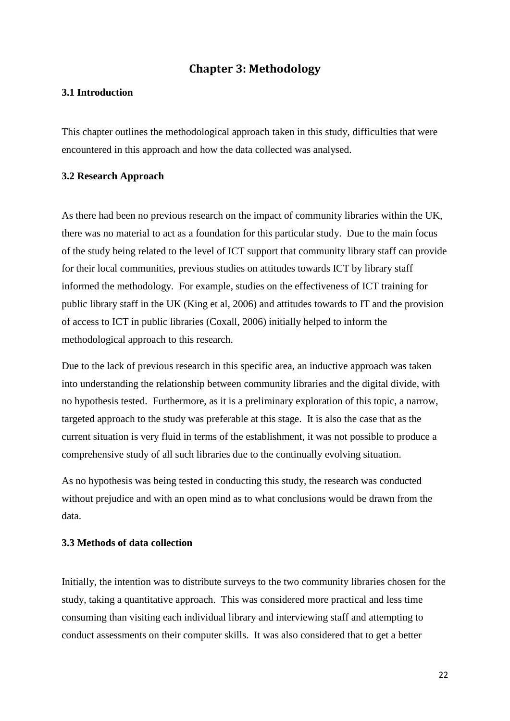## **Chapter 3: Methodology**

## <span id="page-21-1"></span><span id="page-21-0"></span>**3.1 Introduction**

This chapter outlines the methodological approach taken in this study, difficulties that were encountered in this approach and how the data collected was analysed.

#### <span id="page-21-2"></span>**3.2 Research Approach**

As there had been no previous research on the impact of community libraries within the UK, there was no material to act as a foundation for this particular study. Due to the main focus of the study being related to the level of ICT support that community library staff can provide for their local communities, previous studies on attitudes towards ICT by library staff informed the methodology. For example, studies on the effectiveness of ICT training for public library staff in the UK (King et al, 2006) and attitudes towards to IT and the provision of access to ICT in public libraries (Coxall, 2006) initially helped to inform the methodological approach to this research.

Due to the lack of previous research in this specific area, an inductive approach was taken into understanding the relationship between community libraries and the digital divide, with no hypothesis tested. Furthermore, as it is a preliminary exploration of this topic, a narrow, targeted approach to the study was preferable at this stage. It is also the case that as the current situation is very fluid in terms of the establishment, it was not possible to produce a comprehensive study of all such libraries due to the continually evolving situation.

As no hypothesis was being tested in conducting this study, the research was conducted without prejudice and with an open mind as to what conclusions would be drawn from the data.

### <span id="page-21-3"></span>**3.3 Methods of data collection**

Initially, the intention was to distribute surveys to the two community libraries chosen for the study, taking a quantitative approach. This was considered more practical and less time consuming than visiting each individual library and interviewing staff and attempting to conduct assessments on their computer skills. It was also considered that to get a better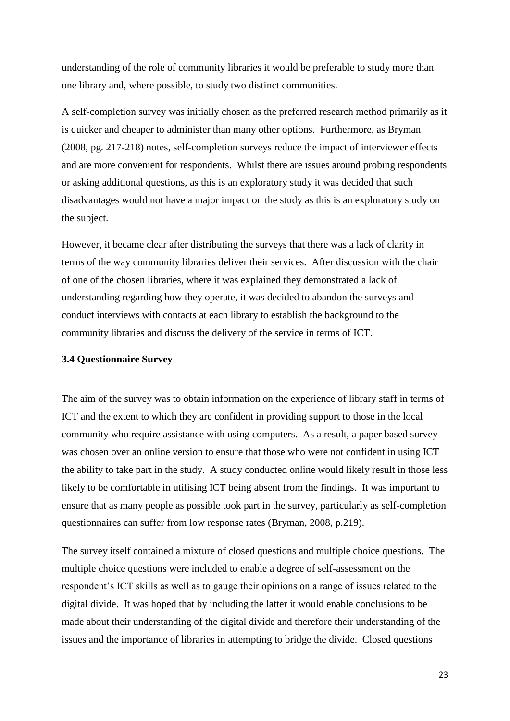understanding of the role of community libraries it would be preferable to study more than one library and, where possible, to study two distinct communities.

A self-completion survey was initially chosen as the preferred research method primarily as it is quicker and cheaper to administer than many other options. Furthermore, as Bryman (2008, pg. 217-218) notes, self-completion surveys reduce the impact of interviewer effects and are more convenient for respondents. Whilst there are issues around probing respondents or asking additional questions, as this is an exploratory study it was decided that such disadvantages would not have a major impact on the study as this is an exploratory study on the subject.

However, it became clear after distributing the surveys that there was a lack of clarity in terms of the way community libraries deliver their services. After discussion with the chair of one of the chosen libraries, where it was explained they demonstrated a lack of understanding regarding how they operate, it was decided to abandon the surveys and conduct interviews with contacts at each library to establish the background to the community libraries and discuss the delivery of the service in terms of ICT.

#### <span id="page-22-0"></span>**3.4 Questionnaire Survey**

The aim of the survey was to obtain information on the experience of library staff in terms of ICT and the extent to which they are confident in providing support to those in the local community who require assistance with using computers. As a result, a paper based survey was chosen over an online version to ensure that those who were not confident in using ICT the ability to take part in the study. A study conducted online would likely result in those less likely to be comfortable in utilising ICT being absent from the findings. It was important to ensure that as many people as possible took part in the survey, particularly as self-completion questionnaires can suffer from low response rates (Bryman, 2008, p.219).

The survey itself contained a mixture of closed questions and multiple choice questions. The multiple choice questions were included to enable a degree of self-assessment on the respondent's ICT skills as well as to gauge their opinions on a range of issues related to the digital divide. It was hoped that by including the latter it would enable conclusions to be made about their understanding of the digital divide and therefore their understanding of the issues and the importance of libraries in attempting to bridge the divide. Closed questions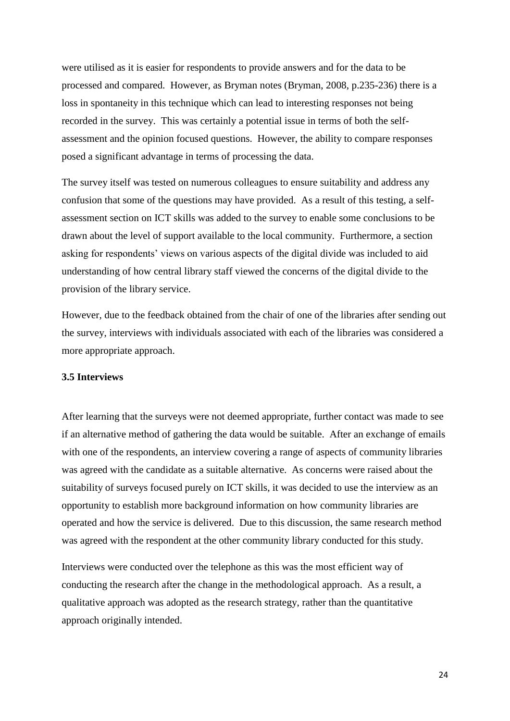were utilised as it is easier for respondents to provide answers and for the data to be processed and compared. However, as Bryman notes (Bryman, 2008, p.235-236) there is a loss in spontaneity in this technique which can lead to interesting responses not being recorded in the survey. This was certainly a potential issue in terms of both the selfassessment and the opinion focused questions. However, the ability to compare responses posed a significant advantage in terms of processing the data.

The survey itself was tested on numerous colleagues to ensure suitability and address any confusion that some of the questions may have provided. As a result of this testing, a selfassessment section on ICT skills was added to the survey to enable some conclusions to be drawn about the level of support available to the local community. Furthermore, a section asking for respondents' views on various aspects of the digital divide was included to aid understanding of how central library staff viewed the concerns of the digital divide to the provision of the library service.

However, due to the feedback obtained from the chair of one of the libraries after sending out the survey, interviews with individuals associated with each of the libraries was considered a more appropriate approach.

#### <span id="page-23-0"></span>**3.5 Interviews**

After learning that the surveys were not deemed appropriate, further contact was made to see if an alternative method of gathering the data would be suitable. After an exchange of emails with one of the respondents, an interview covering a range of aspects of community libraries was agreed with the candidate as a suitable alternative. As concerns were raised about the suitability of surveys focused purely on ICT skills, it was decided to use the interview as an opportunity to establish more background information on how community libraries are operated and how the service is delivered. Due to this discussion, the same research method was agreed with the respondent at the other community library conducted for this study.

Interviews were conducted over the telephone as this was the most efficient way of conducting the research after the change in the methodological approach. As a result, a qualitative approach was adopted as the research strategy, rather than the quantitative approach originally intended.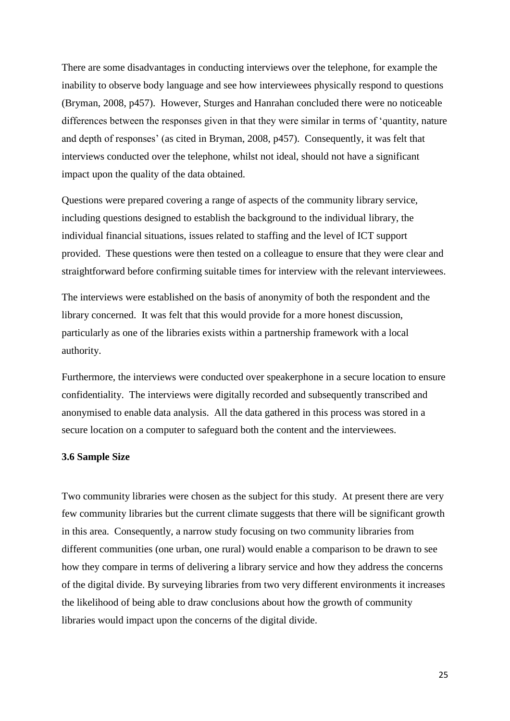There are some disadvantages in conducting interviews over the telephone, for example the inability to observe body language and see how interviewees physically respond to questions (Bryman, 2008, p457). However, Sturges and Hanrahan concluded there were no noticeable differences between the responses given in that they were similar in terms of 'quantity, nature and depth of responses' (as cited in Bryman, 2008, p457). Consequently, it was felt that interviews conducted over the telephone, whilst not ideal, should not have a significant impact upon the quality of the data obtained.

Questions were prepared covering a range of aspects of the community library service, including questions designed to establish the background to the individual library, the individual financial situations, issues related to staffing and the level of ICT support provided. These questions were then tested on a colleague to ensure that they were clear and straightforward before confirming suitable times for interview with the relevant interviewees.

The interviews were established on the basis of anonymity of both the respondent and the library concerned. It was felt that this would provide for a more honest discussion, particularly as one of the libraries exists within a partnership framework with a local authority.

Furthermore, the interviews were conducted over speakerphone in a secure location to ensure confidentiality. The interviews were digitally recorded and subsequently transcribed and anonymised to enable data analysis. All the data gathered in this process was stored in a secure location on a computer to safeguard both the content and the interviewees.

#### <span id="page-24-0"></span>**3.6 Sample Size**

Two community libraries were chosen as the subject for this study. At present there are very few community libraries but the current climate suggests that there will be significant growth in this area. Consequently, a narrow study focusing on two community libraries from different communities (one urban, one rural) would enable a comparison to be drawn to see how they compare in terms of delivering a library service and how they address the concerns of the digital divide. By surveying libraries from two very different environments it increases the likelihood of being able to draw conclusions about how the growth of community libraries would impact upon the concerns of the digital divide.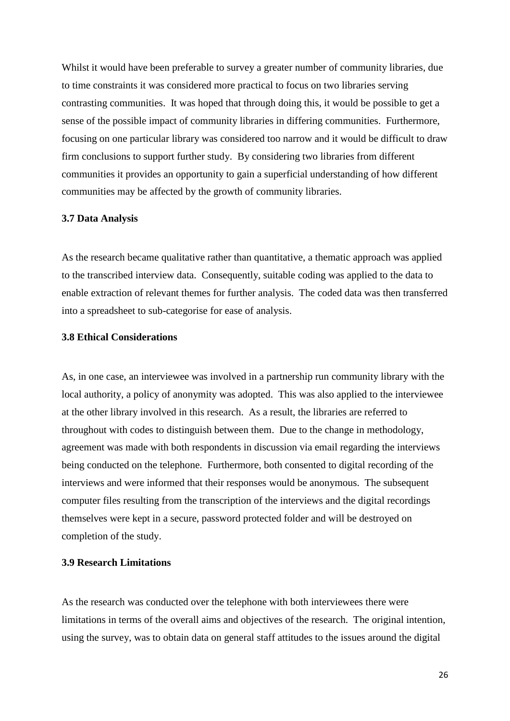Whilst it would have been preferable to survey a greater number of community libraries, due to time constraints it was considered more practical to focus on two libraries serving contrasting communities. It was hoped that through doing this, it would be possible to get a sense of the possible impact of community libraries in differing communities. Furthermore, focusing on one particular library was considered too narrow and it would be difficult to draw firm conclusions to support further study. By considering two libraries from different communities it provides an opportunity to gain a superficial understanding of how different communities may be affected by the growth of community libraries.

#### <span id="page-25-0"></span>**3.7 Data Analysis**

As the research became qualitative rather than quantitative, a thematic approach was applied to the transcribed interview data. Consequently, suitable coding was applied to the data to enable extraction of relevant themes for further analysis. The coded data was then transferred into a spreadsheet to sub-categorise for ease of analysis.

#### <span id="page-25-1"></span>**3.8 Ethical Considerations**

As, in one case, an interviewee was involved in a partnership run community library with the local authority, a policy of anonymity was adopted. This was also applied to the interviewee at the other library involved in this research. As a result, the libraries are referred to throughout with codes to distinguish between them. Due to the change in methodology, agreement was made with both respondents in discussion via email regarding the interviews being conducted on the telephone. Furthermore, both consented to digital recording of the interviews and were informed that their responses would be anonymous. The subsequent computer files resulting from the transcription of the interviews and the digital recordings themselves were kept in a secure, password protected folder and will be destroyed on completion of the study.

## <span id="page-25-2"></span>**3.9 Research Limitations**

As the research was conducted over the telephone with both interviewees there were limitations in terms of the overall aims and objectives of the research. The original intention, using the survey, was to obtain data on general staff attitudes to the issues around the digital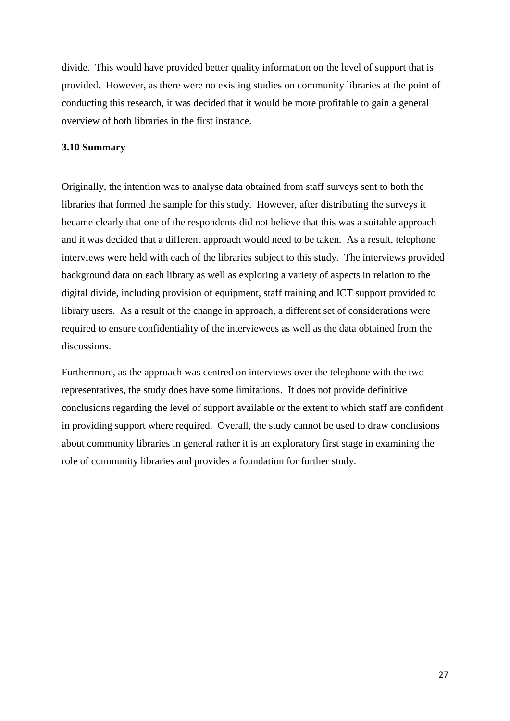divide. This would have provided better quality information on the level of support that is provided. However, as there were no existing studies on community libraries at the point of conducting this research, it was decided that it would be more profitable to gain a general overview of both libraries in the first instance.

#### <span id="page-26-0"></span>**3.10 Summary**

Originally, the intention was to analyse data obtained from staff surveys sent to both the libraries that formed the sample for this study. However, after distributing the surveys it became clearly that one of the respondents did not believe that this was a suitable approach and it was decided that a different approach would need to be taken. As a result, telephone interviews were held with each of the libraries subject to this study. The interviews provided background data on each library as well as exploring a variety of aspects in relation to the digital divide, including provision of equipment, staff training and ICT support provided to library users. As a result of the change in approach, a different set of considerations were required to ensure confidentiality of the interviewees as well as the data obtained from the discussions.

Furthermore, as the approach was centred on interviews over the telephone with the two representatives, the study does have some limitations. It does not provide definitive conclusions regarding the level of support available or the extent to which staff are confident in providing support where required. Overall, the study cannot be used to draw conclusions about community libraries in general rather it is an exploratory first stage in examining the role of community libraries and provides a foundation for further study.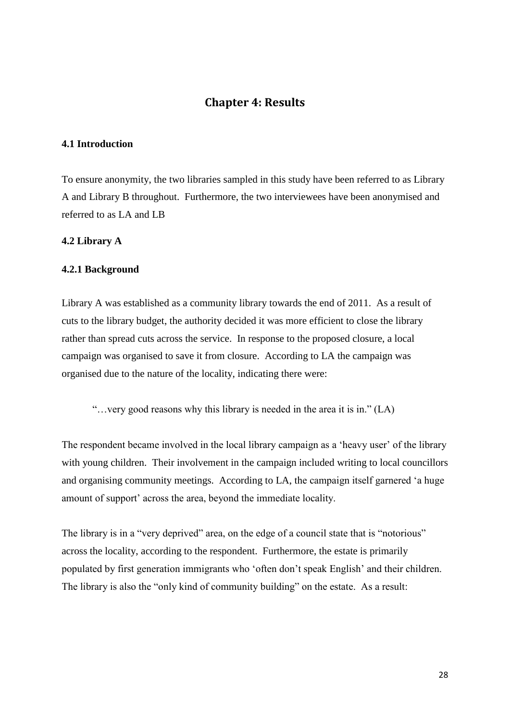## **Chapter 4: Results**

#### <span id="page-27-1"></span><span id="page-27-0"></span>**4.1 Introduction**

To ensure anonymity, the two libraries sampled in this study have been referred to as Library A and Library B throughout. Furthermore, the two interviewees have been anonymised and referred to as LA and LB

#### <span id="page-27-2"></span>**4.2 Library A**

#### <span id="page-27-3"></span>**4.2.1 Background**

Library A was established as a community library towards the end of 2011. As a result of cuts to the library budget, the authority decided it was more efficient to close the library rather than spread cuts across the service. In response to the proposed closure, a local campaign was organised to save it from closure. According to LA the campaign was organised due to the nature of the locality, indicating there were:

"…very good reasons why this library is needed in the area it is in." (LA)

The respondent became involved in the local library campaign as a 'heavy user' of the library with young children. Their involvement in the campaign included writing to local councillors and organising community meetings. According to LA, the campaign itself garnered 'a huge amount of support' across the area, beyond the immediate locality.

The library is in a "very deprived" area, on the edge of a council state that is "notorious" across the locality, according to the respondent. Furthermore, the estate is primarily populated by first generation immigrants who 'often don't speak English' and their children. The library is also the "only kind of community building" on the estate. As a result: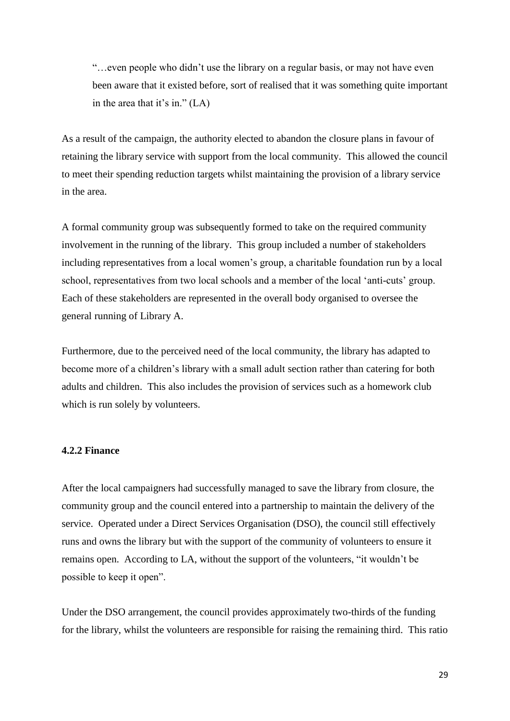"…even people who didn't use the library on a regular basis, or may not have even been aware that it existed before, sort of realised that it was something quite important in the area that it's in." (LA)

As a result of the campaign, the authority elected to abandon the closure plans in favour of retaining the library service with support from the local community. This allowed the council to meet their spending reduction targets whilst maintaining the provision of a library service in the area.

A formal community group was subsequently formed to take on the required community involvement in the running of the library. This group included a number of stakeholders including representatives from a local women's group, a charitable foundation run by a local school, representatives from two local schools and a member of the local 'anti-cuts' group. Each of these stakeholders are represented in the overall body organised to oversee the general running of Library A.

Furthermore, due to the perceived need of the local community, the library has adapted to become more of a children's library with a small adult section rather than catering for both adults and children. This also includes the provision of services such as a homework club which is run solely by volunteers.

#### <span id="page-28-0"></span>**4.2.2 Finance**

After the local campaigners had successfully managed to save the library from closure, the community group and the council entered into a partnership to maintain the delivery of the service. Operated under a Direct Services Organisation (DSO), the council still effectively runs and owns the library but with the support of the community of volunteers to ensure it remains open. According to LA, without the support of the volunteers, "it wouldn't be possible to keep it open".

Under the DSO arrangement, the council provides approximately two-thirds of the funding for the library, whilst the volunteers are responsible for raising the remaining third. This ratio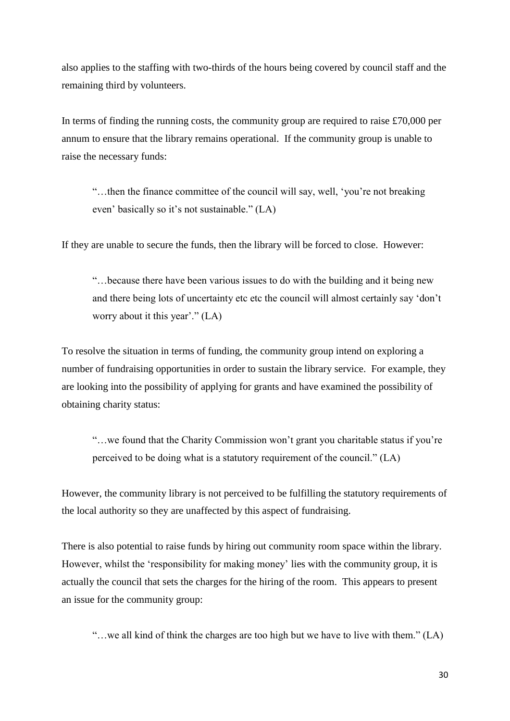also applies to the staffing with two-thirds of the hours being covered by council staff and the remaining third by volunteers.

In terms of finding the running costs, the community group are required to raise  $\text{\pounds}70,000$  per annum to ensure that the library remains operational. If the community group is unable to raise the necessary funds:

"…then the finance committee of the council will say, well, 'you're not breaking even' basically so it's not sustainable." (LA)

If they are unable to secure the funds, then the library will be forced to close. However:

"…because there have been various issues to do with the building and it being new and there being lots of uncertainty etc etc the council will almost certainly say 'don't worry about it this year'." (LA)

To resolve the situation in terms of funding, the community group intend on exploring a number of fundraising opportunities in order to sustain the library service. For example, they are looking into the possibility of applying for grants and have examined the possibility of obtaining charity status:

"…we found that the Charity Commission won't grant you charitable status if you're perceived to be doing what is a statutory requirement of the council." (LA)

However, the community library is not perceived to be fulfilling the statutory requirements of the local authority so they are unaffected by this aspect of fundraising.

There is also potential to raise funds by hiring out community room space within the library. However, whilst the 'responsibility for making money' lies with the community group, it is actually the council that sets the charges for the hiring of the room. This appears to present an issue for the community group:

"…we all kind of think the charges are too high but we have to live with them." (LA)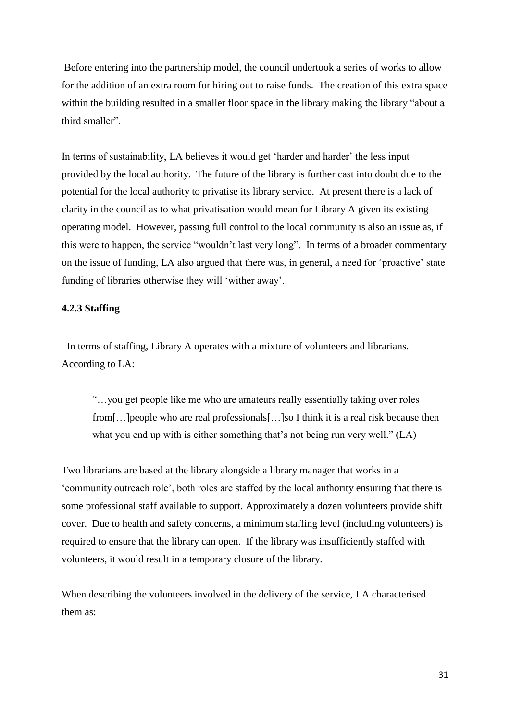Before entering into the partnership model, the council undertook a series of works to allow for the addition of an extra room for hiring out to raise funds. The creation of this extra space within the building resulted in a smaller floor space in the library making the library "about a third smaller".

In terms of sustainability, LA believes it would get 'harder and harder' the less input provided by the local authority. The future of the library is further cast into doubt due to the potential for the local authority to privatise its library service. At present there is a lack of clarity in the council as to what privatisation would mean for Library A given its existing operating model. However, passing full control to the local community is also an issue as, if this were to happen, the service "wouldn't last very long". In terms of a broader commentary on the issue of funding, LA also argued that there was, in general, a need for 'proactive' state funding of libraries otherwise they will 'wither away'.

#### <span id="page-30-0"></span>**4.2.3 Staffing**

 In terms of staffing, Library A operates with a mixture of volunteers and librarians. According to LA:

"…you get people like me who are amateurs really essentially taking over roles from[…]people who are real professionals[…]so I think it is a real risk because then what you end up with is either something that's not being run very well." (LA)

Two librarians are based at the library alongside a library manager that works in a 'community outreach role', both roles are staffed by the local authority ensuring that there is some professional staff available to support. Approximately a dozen volunteers provide shift cover. Due to health and safety concerns, a minimum staffing level (including volunteers) is required to ensure that the library can open. If the library was insufficiently staffed with volunteers, it would result in a temporary closure of the library.

When describing the volunteers involved in the delivery of the service, LA characterised them as: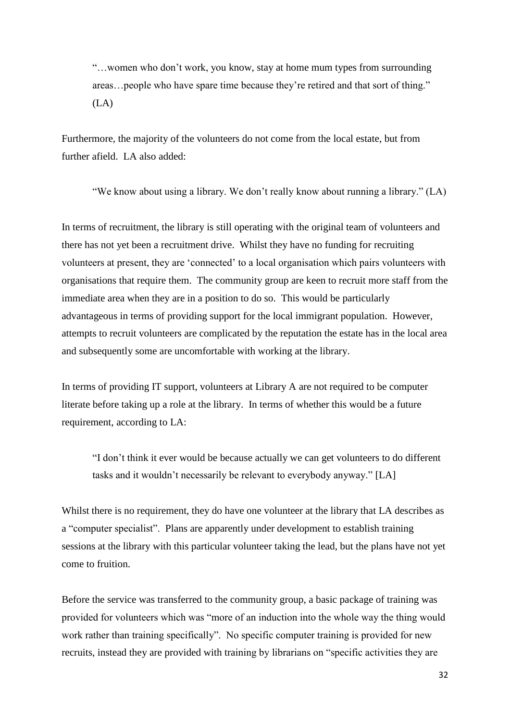"…women who don't work, you know, stay at home mum types from surrounding areas…people who have spare time because they're retired and that sort of thing."  $(LA)$ 

Furthermore, the majority of the volunteers do not come from the local estate, but from further afield. LA also added:

"We know about using a library. We don't really know about running a library." (LA)

In terms of recruitment, the library is still operating with the original team of volunteers and there has not yet been a recruitment drive. Whilst they have no funding for recruiting volunteers at present, they are 'connected' to a local organisation which pairs volunteers with organisations that require them. The community group are keen to recruit more staff from the immediate area when they are in a position to do so. This would be particularly advantageous in terms of providing support for the local immigrant population. However, attempts to recruit volunteers are complicated by the reputation the estate has in the local area and subsequently some are uncomfortable with working at the library.

In terms of providing IT support, volunteers at Library A are not required to be computer literate before taking up a role at the library. In terms of whether this would be a future requirement, according to LA:

"I don't think it ever would be because actually we can get volunteers to do different tasks and it wouldn't necessarily be relevant to everybody anyway." [LA]

Whilst there is no requirement, they do have one volunteer at the library that LA describes as a "computer specialist". Plans are apparently under development to establish training sessions at the library with this particular volunteer taking the lead, but the plans have not yet come to fruition.

Before the service was transferred to the community group, a basic package of training was provided for volunteers which was "more of an induction into the whole way the thing would work rather than training specifically". No specific computer training is provided for new recruits, instead they are provided with training by librarians on "specific activities they are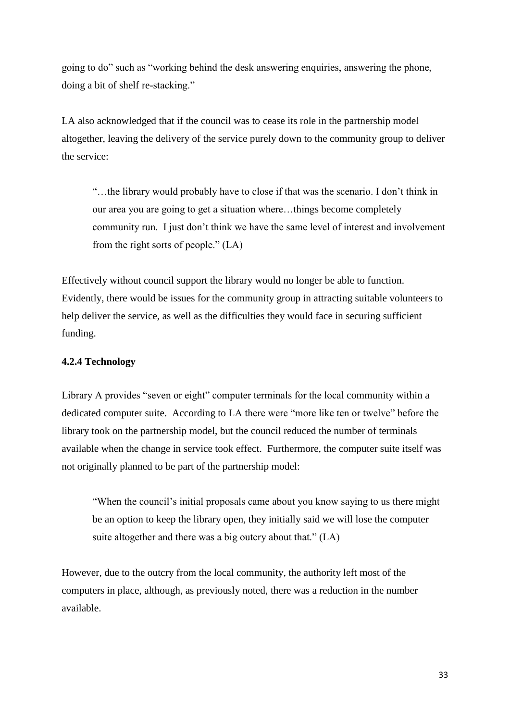going to do" such as "working behind the desk answering enquiries, answering the phone, doing a bit of shelf re-stacking."

LA also acknowledged that if the council was to cease its role in the partnership model altogether, leaving the delivery of the service purely down to the community group to deliver the service:

"…the library would probably have to close if that was the scenario. I don't think in our area you are going to get a situation where…things become completely community run. I just don't think we have the same level of interest and involvement from the right sorts of people." (LA)

Effectively without council support the library would no longer be able to function. Evidently, there would be issues for the community group in attracting suitable volunteers to help deliver the service, as well as the difficulties they would face in securing sufficient funding.

## <span id="page-32-0"></span>**4.2.4 Technology**

Library A provides "seven or eight" computer terminals for the local community within a dedicated computer suite. According to LA there were "more like ten or twelve" before the library took on the partnership model, but the council reduced the number of terminals available when the change in service took effect. Furthermore, the computer suite itself was not originally planned to be part of the partnership model:

"When the council's initial proposals came about you know saying to us there might be an option to keep the library open, they initially said we will lose the computer suite altogether and there was a big outcry about that." (LA)

However, due to the outcry from the local community, the authority left most of the computers in place, although, as previously noted, there was a reduction in the number available.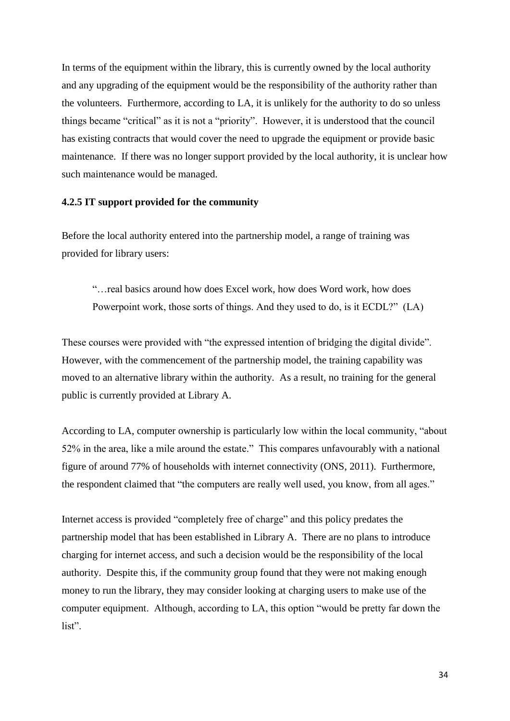In terms of the equipment within the library, this is currently owned by the local authority and any upgrading of the equipment would be the responsibility of the authority rather than the volunteers. Furthermore, according to LA, it is unlikely for the authority to do so unless things became "critical" as it is not a "priority". However, it is understood that the council has existing contracts that would cover the need to upgrade the equipment or provide basic maintenance. If there was no longer support provided by the local authority, it is unclear how such maintenance would be managed.

#### <span id="page-33-0"></span>**4.2.5 IT support provided for the community**

Before the local authority entered into the partnership model, a range of training was provided for library users:

"…real basics around how does Excel work, how does Word work, how does Powerpoint work, those sorts of things. And they used to do, is it ECDL?" (LA)

These courses were provided with "the expressed intention of bridging the digital divide". However, with the commencement of the partnership model, the training capability was moved to an alternative library within the authority. As a result, no training for the general public is currently provided at Library A.

According to LA, computer ownership is particularly low within the local community, "about 52% in the area, like a mile around the estate." This compares unfavourably with a national figure of around 77% of households with internet connectivity (ONS, 2011). Furthermore, the respondent claimed that "the computers are really well used, you know, from all ages."

Internet access is provided "completely free of charge" and this policy predates the partnership model that has been established in Library A. There are no plans to introduce charging for internet access, and such a decision would be the responsibility of the local authority. Despite this, if the community group found that they were not making enough money to run the library, they may consider looking at charging users to make use of the computer equipment. Although, according to LA, this option "would be pretty far down the list".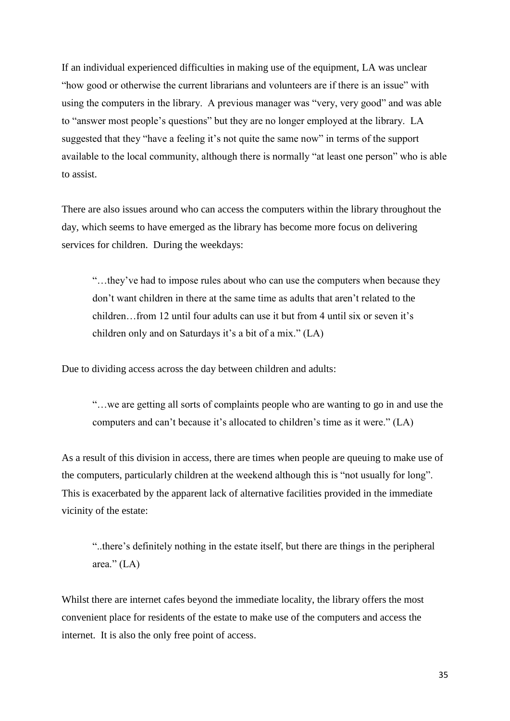If an individual experienced difficulties in making use of the equipment, LA was unclear "how good or otherwise the current librarians and volunteers are if there is an issue" with using the computers in the library. A previous manager was "very, very good" and was able to "answer most people's questions" but they are no longer employed at the library. LA suggested that they "have a feeling it's not quite the same now" in terms of the support available to the local community, although there is normally "at least one person" who is able to assist.

There are also issues around who can access the computers within the library throughout the day, which seems to have emerged as the library has become more focus on delivering services for children. During the weekdays:

"…they've had to impose rules about who can use the computers when because they don't want children in there at the same time as adults that aren't related to the children…from 12 until four adults can use it but from 4 until six or seven it's children only and on Saturdays it's a bit of a mix." (LA)

Due to dividing access across the day between children and adults:

"…we are getting all sorts of complaints people who are wanting to go in and use the computers and can't because it's allocated to children's time as it were." (LA)

As a result of this division in access, there are times when people are queuing to make use of the computers, particularly children at the weekend although this is "not usually for long". This is exacerbated by the apparent lack of alternative facilities provided in the immediate vicinity of the estate:

"..there's definitely nothing in the estate itself, but there are things in the peripheral area." $(LA)$ 

Whilst there are internet cafes beyond the immediate locality, the library offers the most convenient place for residents of the estate to make use of the computers and access the internet. It is also the only free point of access.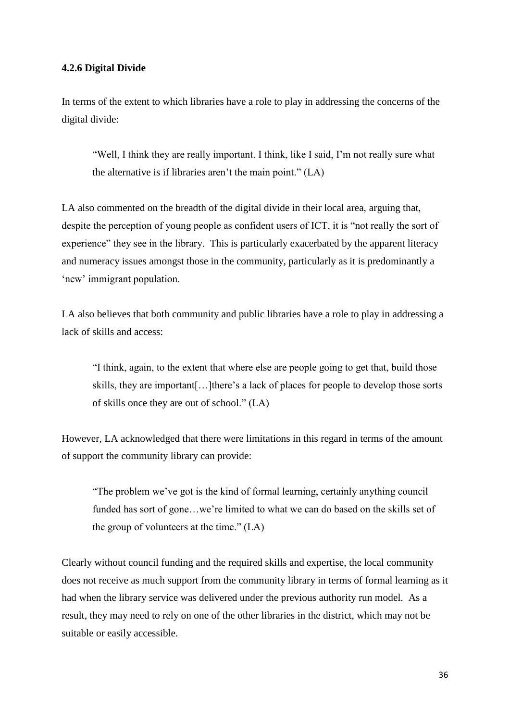#### <span id="page-35-0"></span>**4.2.6 Digital Divide**

In terms of the extent to which libraries have a role to play in addressing the concerns of the digital divide:

"Well, I think they are really important. I think, like I said, I'm not really sure what the alternative is if libraries aren't the main point." (LA)

LA also commented on the breadth of the digital divide in their local area, arguing that, despite the perception of young people as confident users of ICT, it is "not really the sort of experience" they see in the library. This is particularly exacerbated by the apparent literacy and numeracy issues amongst those in the community, particularly as it is predominantly a 'new' immigrant population.

LA also believes that both community and public libraries have a role to play in addressing a lack of skills and access:

"I think, again, to the extent that where else are people going to get that, build those skills, they are important[…]there's a lack of places for people to develop those sorts of skills once they are out of school." (LA)

However, LA acknowledged that there were limitations in this regard in terms of the amount of support the community library can provide:

"The problem we've got is the kind of formal learning, certainly anything council funded has sort of gone…we're limited to what we can do based on the skills set of the group of volunteers at the time." (LA)

Clearly without council funding and the required skills and expertise, the local community does not receive as much support from the community library in terms of formal learning as it had when the library service was delivered under the previous authority run model. As a result, they may need to rely on one of the other libraries in the district, which may not be suitable or easily accessible.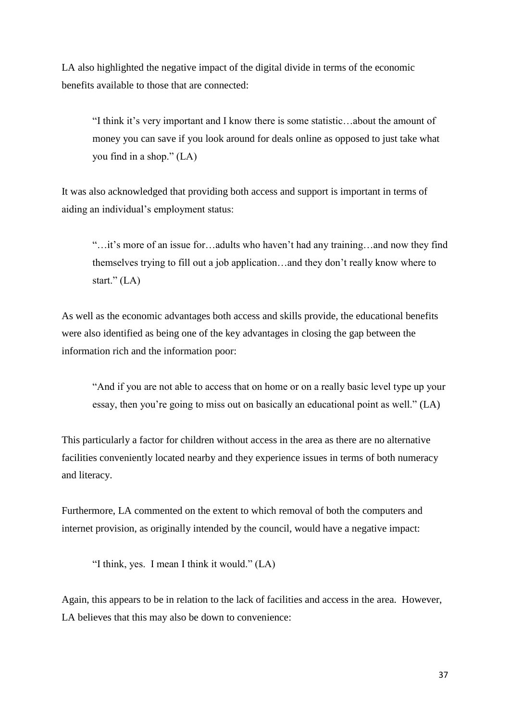LA also highlighted the negative impact of the digital divide in terms of the economic benefits available to those that are connected:

"I think it's very important and I know there is some statistic…about the amount of money you can save if you look around for deals online as opposed to just take what you find in a shop." (LA)

It was also acknowledged that providing both access and support is important in terms of aiding an individual's employment status:

"…it's more of an issue for…adults who haven't had any training…and now they find themselves trying to fill out a job application…and they don't really know where to start." (LA)

As well as the economic advantages both access and skills provide, the educational benefits were also identified as being one of the key advantages in closing the gap between the information rich and the information poor:

"And if you are not able to access that on home or on a really basic level type up your essay, then you're going to miss out on basically an educational point as well." (LA)

This particularly a factor for children without access in the area as there are no alternative facilities conveniently located nearby and they experience issues in terms of both numeracy and literacy.

Furthermore, LA commented on the extent to which removal of both the computers and internet provision, as originally intended by the council, would have a negative impact:

"I think, yes. I mean I think it would." (LA)

Again, this appears to be in relation to the lack of facilities and access in the area. However, LA believes that this may also be down to convenience: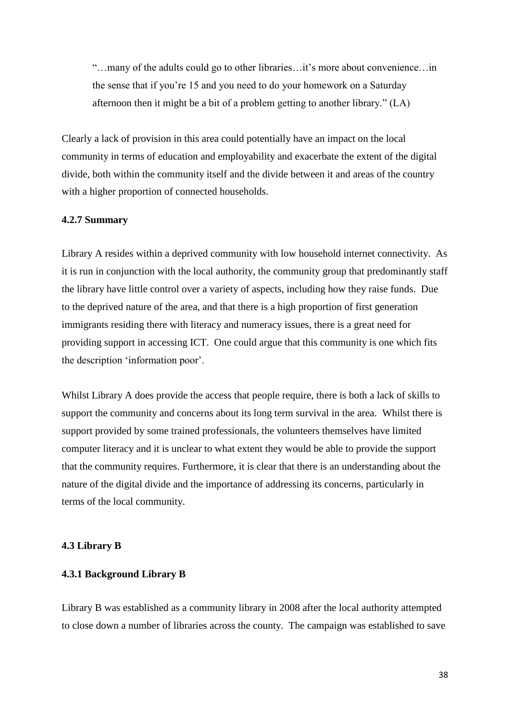"…many of the adults could go to other libraries…it's more about convenience…in the sense that if you're 15 and you need to do your homework on a Saturday afternoon then it might be a bit of a problem getting to another library." (LA)

Clearly a lack of provision in this area could potentially have an impact on the local community in terms of education and employability and exacerbate the extent of the digital divide, both within the community itself and the divide between it and areas of the country with a higher proportion of connected households.

#### <span id="page-37-0"></span>**4.2.7 Summary**

Library A resides within a deprived community with low household internet connectivity. As it is run in conjunction with the local authority, the community group that predominantly staff the library have little control over a variety of aspects, including how they raise funds. Due to the deprived nature of the area, and that there is a high proportion of first generation immigrants residing there with literacy and numeracy issues, there is a great need for providing support in accessing ICT. One could argue that this community is one which fits the description 'information poor'.

Whilst Library A does provide the access that people require, there is both a lack of skills to support the community and concerns about its long term survival in the area. Whilst there is support provided by some trained professionals, the volunteers themselves have limited computer literacy and it is unclear to what extent they would be able to provide the support that the community requires. Furthermore, it is clear that there is an understanding about the nature of the digital divide and the importance of addressing its concerns, particularly in terms of the local community.

#### <span id="page-37-1"></span>**4.3 Library B**

#### <span id="page-37-2"></span>**4.3.1 Background Library B**

Library B was established as a community library in 2008 after the local authority attempted to close down a number of libraries across the county. The campaign was established to save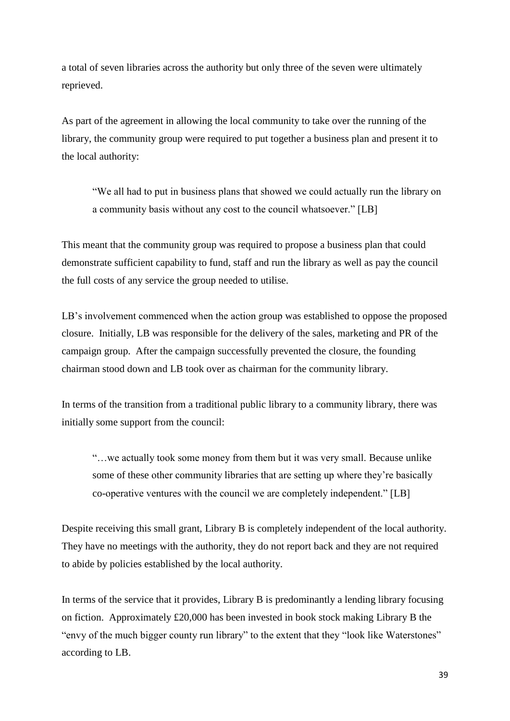a total of seven libraries across the authority but only three of the seven were ultimately reprieved.

As part of the agreement in allowing the local community to take over the running of the library, the community group were required to put together a business plan and present it to the local authority:

"We all had to put in business plans that showed we could actually run the library on a community basis without any cost to the council whatsoever." [LB]

This meant that the community group was required to propose a business plan that could demonstrate sufficient capability to fund, staff and run the library as well as pay the council the full costs of any service the group needed to utilise.

LB's involvement commenced when the action group was established to oppose the proposed closure. Initially, LB was responsible for the delivery of the sales, marketing and PR of the campaign group. After the campaign successfully prevented the closure, the founding chairman stood down and LB took over as chairman for the community library.

In terms of the transition from a traditional public library to a community library, there was initially some support from the council:

"…we actually took some money from them but it was very small. Because unlike some of these other community libraries that are setting up where they're basically co-operative ventures with the council we are completely independent." [LB]

Despite receiving this small grant, Library B is completely independent of the local authority. They have no meetings with the authority, they do not report back and they are not required to abide by policies established by the local authority.

In terms of the service that it provides, Library B is predominantly a lending library focusing on fiction. Approximately £20,000 has been invested in book stock making Library B the "envy of the much bigger county run library" to the extent that they "look like Waterstones" according to LB.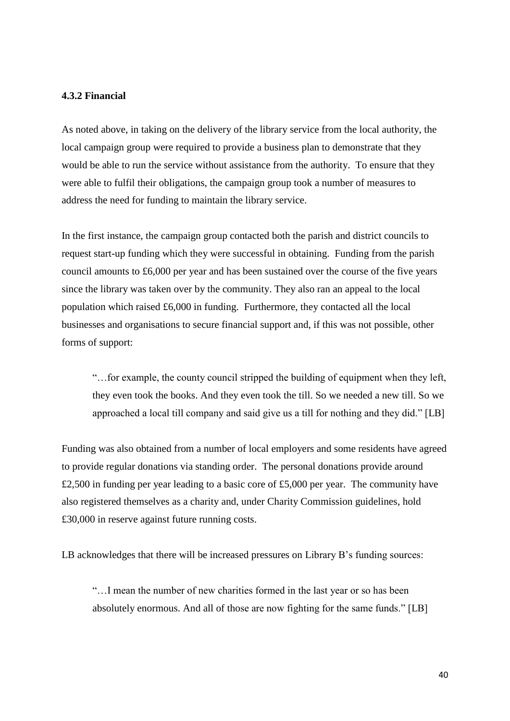#### <span id="page-39-0"></span>**4.3.2 Financial**

As noted above, in taking on the delivery of the library service from the local authority, the local campaign group were required to provide a business plan to demonstrate that they would be able to run the service without assistance from the authority. To ensure that they were able to fulfil their obligations, the campaign group took a number of measures to address the need for funding to maintain the library service.

In the first instance, the campaign group contacted both the parish and district councils to request start-up funding which they were successful in obtaining. Funding from the parish council amounts to £6,000 per year and has been sustained over the course of the five years since the library was taken over by the community. They also ran an appeal to the local population which raised £6,000 in funding. Furthermore, they contacted all the local businesses and organisations to secure financial support and, if this was not possible, other forms of support:

"…for example, the county council stripped the building of equipment when they left, they even took the books. And they even took the till. So we needed a new till. So we approached a local till company and said give us a till for nothing and they did." [LB]

Funding was also obtained from a number of local employers and some residents have agreed to provide regular donations via standing order. The personal donations provide around £2,500 in funding per year leading to a basic core of £5,000 per year. The community have also registered themselves as a charity and, under Charity Commission guidelines, hold £30,000 in reserve against future running costs.

LB acknowledges that there will be increased pressures on Library B's funding sources:

"…I mean the number of new charities formed in the last year or so has been absolutely enormous. And all of those are now fighting for the same funds." [LB]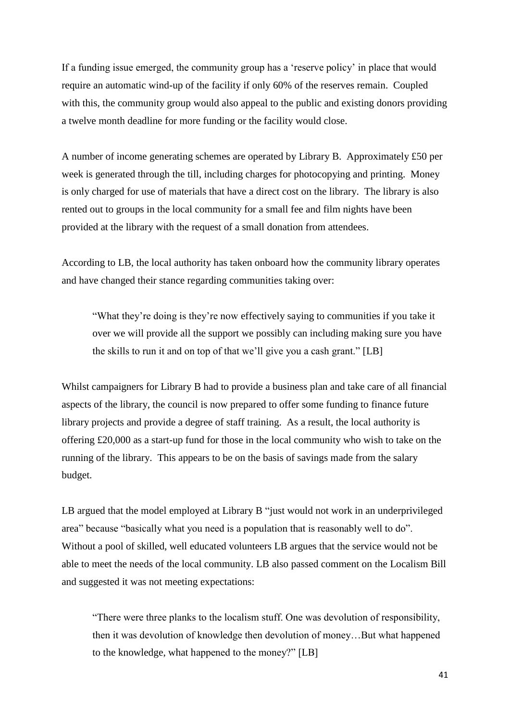If a funding issue emerged, the community group has a 'reserve policy' in place that would require an automatic wind-up of the facility if only 60% of the reserves remain. Coupled with this, the community group would also appeal to the public and existing donors providing a twelve month deadline for more funding or the facility would close.

A number of income generating schemes are operated by Library B. Approximately £50 per week is generated through the till, including charges for photocopying and printing. Money is only charged for use of materials that have a direct cost on the library. The library is also rented out to groups in the local community for a small fee and film nights have been provided at the library with the request of a small donation from attendees.

According to LB, the local authority has taken onboard how the community library operates and have changed their stance regarding communities taking over:

"What they're doing is they're now effectively saying to communities if you take it over we will provide all the support we possibly can including making sure you have the skills to run it and on top of that we'll give you a cash grant." [LB]

Whilst campaigners for Library B had to provide a business plan and take care of all financial aspects of the library, the council is now prepared to offer some funding to finance future library projects and provide a degree of staff training. As a result, the local authority is offering £20,000 as a start-up fund for those in the local community who wish to take on the running of the library. This appears to be on the basis of savings made from the salary budget.

LB argued that the model employed at Library B "just would not work in an underprivileged area" because "basically what you need is a population that is reasonably well to do". Without a pool of skilled, well educated volunteers LB argues that the service would not be able to meet the needs of the local community. LB also passed comment on the Localism Bill and suggested it was not meeting expectations:

"There were three planks to the localism stuff. One was devolution of responsibility, then it was devolution of knowledge then devolution of money…But what happened to the knowledge, what happened to the money?" [LB]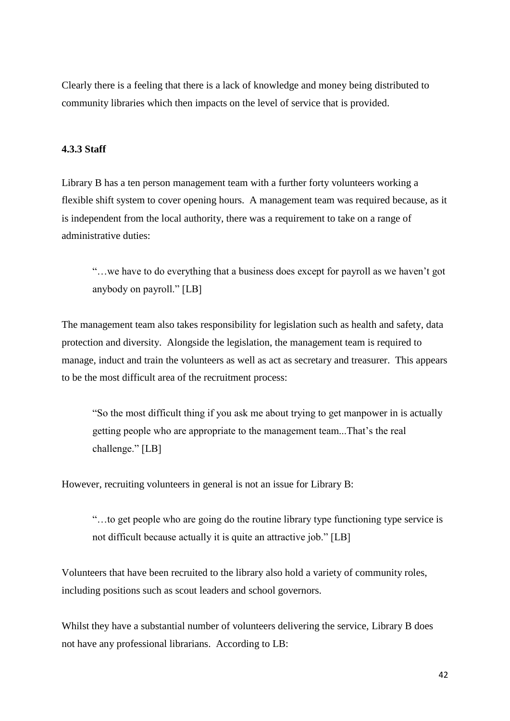Clearly there is a feeling that there is a lack of knowledge and money being distributed to community libraries which then impacts on the level of service that is provided.

## <span id="page-41-0"></span>**4.3.3 Staff**

Library B has a ten person management team with a further forty volunteers working a flexible shift system to cover opening hours. A management team was required because, as it is independent from the local authority, there was a requirement to take on a range of administrative duties:

"…we have to do everything that a business does except for payroll as we haven't got anybody on payroll." [LB]

The management team also takes responsibility for legislation such as health and safety, data protection and diversity. Alongside the legislation, the management team is required to manage, induct and train the volunteers as well as act as secretary and treasurer. This appears to be the most difficult area of the recruitment process:

"So the most difficult thing if you ask me about trying to get manpower in is actually getting people who are appropriate to the management team...That's the real challenge." [LB]

However, recruiting volunteers in general is not an issue for Library B:

"…to get people who are going do the routine library type functioning type service is not difficult because actually it is quite an attractive job." [LB]

Volunteers that have been recruited to the library also hold a variety of community roles, including positions such as scout leaders and school governors.

Whilst they have a substantial number of volunteers delivering the service, Library B does not have any professional librarians. According to LB: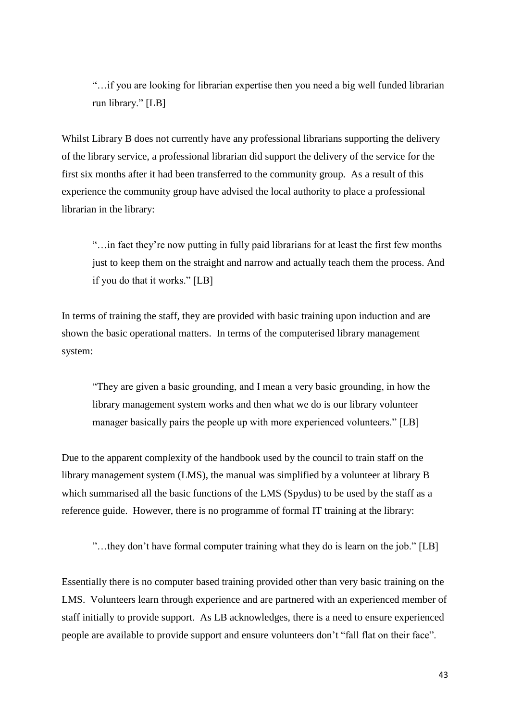"…if you are looking for librarian expertise then you need a big well funded librarian run library." [LB]

Whilst Library B does not currently have any professional librarians supporting the delivery of the library service, a professional librarian did support the delivery of the service for the first six months after it had been transferred to the community group. As a result of this experience the community group have advised the local authority to place a professional librarian in the library:

"…in fact they're now putting in fully paid librarians for at least the first few months just to keep them on the straight and narrow and actually teach them the process. And if you do that it works." [LB]

In terms of training the staff, they are provided with basic training upon induction and are shown the basic operational matters. In terms of the computerised library management system:

"They are given a basic grounding, and I mean a very basic grounding, in how the library management system works and then what we do is our library volunteer manager basically pairs the people up with more experienced volunteers." [LB]

Due to the apparent complexity of the handbook used by the council to train staff on the library management system (LMS), the manual was simplified by a volunteer at library B which summarised all the basic functions of the LMS (Spydus) to be used by the staff as a reference guide. However, there is no programme of formal IT training at the library:

"…they don't have formal computer training what they do is learn on the job." [LB]

Essentially there is no computer based training provided other than very basic training on the LMS. Volunteers learn through experience and are partnered with an experienced member of staff initially to provide support. As LB acknowledges, there is a need to ensure experienced people are available to provide support and ensure volunteers don't "fall flat on their face".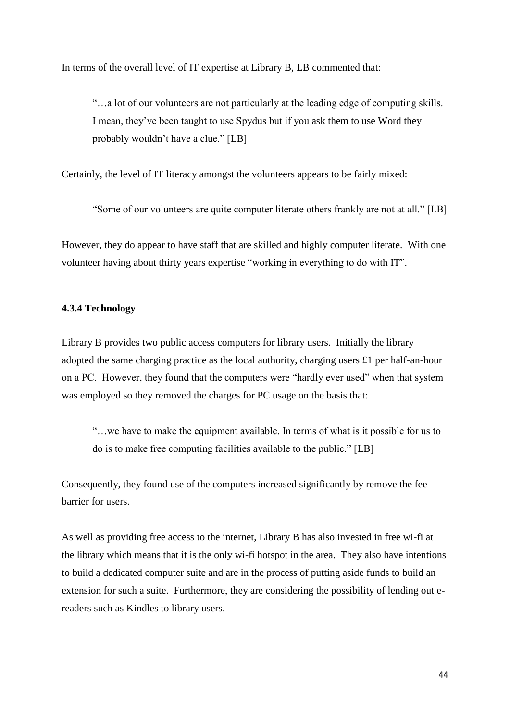In terms of the overall level of IT expertise at Library B, LB commented that:

"…a lot of our volunteers are not particularly at the leading edge of computing skills. I mean, they've been taught to use Spydus but if you ask them to use Word they probably wouldn't have a clue." [LB]

Certainly, the level of IT literacy amongst the volunteers appears to be fairly mixed:

"Some of our volunteers are quite computer literate others frankly are not at all." [LB]

However, they do appear to have staff that are skilled and highly computer literate. With one volunteer having about thirty years expertise "working in everything to do with IT".

#### <span id="page-43-0"></span>**4.3.4 Technology**

Library B provides two public access computers for library users. Initially the library adopted the same charging practice as the local authority, charging users £1 per half-an-hour on a PC. However, they found that the computers were "hardly ever used" when that system was employed so they removed the charges for PC usage on the basis that:

"…we have to make the equipment available. In terms of what is it possible for us to do is to make free computing facilities available to the public." [LB]

Consequently, they found use of the computers increased significantly by remove the fee barrier for users.

As well as providing free access to the internet, Library B has also invested in free wi-fi at the library which means that it is the only wi-fi hotspot in the area. They also have intentions to build a dedicated computer suite and are in the process of putting aside funds to build an extension for such a suite. Furthermore, they are considering the possibility of lending out ereaders such as Kindles to library users.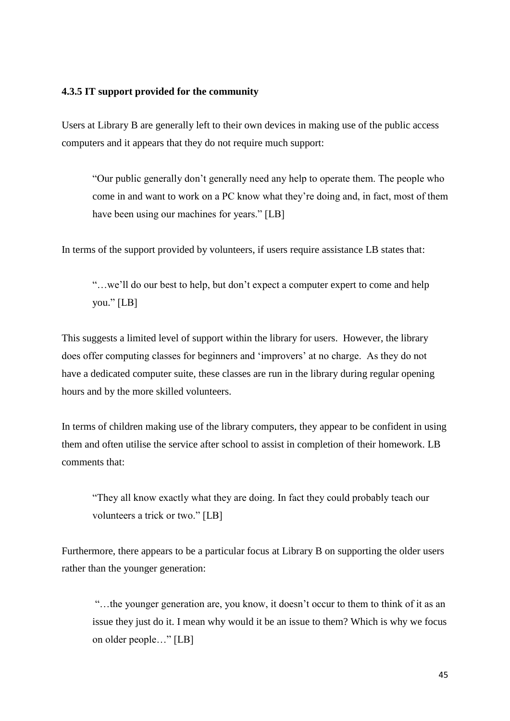#### <span id="page-44-0"></span>**4.3.5 IT support provided for the community**

Users at Library B are generally left to their own devices in making use of the public access computers and it appears that they do not require much support:

"Our public generally don't generally need any help to operate them. The people who come in and want to work on a PC know what they're doing and, in fact, most of them have been using our machines for years." [LB]

In terms of the support provided by volunteers, if users require assistance LB states that:

"…we'll do our best to help, but don't expect a computer expert to come and help you." [LB]

This suggests a limited level of support within the library for users. However, the library does offer computing classes for beginners and 'improvers' at no charge. As they do not have a dedicated computer suite, these classes are run in the library during regular opening hours and by the more skilled volunteers.

In terms of children making use of the library computers, they appear to be confident in using them and often utilise the service after school to assist in completion of their homework. LB comments that:

"They all know exactly what they are doing. In fact they could probably teach our volunteers a trick or two." [LB]

Furthermore, there appears to be a particular focus at Library B on supporting the older users rather than the younger generation:

"…the younger generation are, you know, it doesn't occur to them to think of it as an issue they just do it. I mean why would it be an issue to them? Which is why we focus on older people…" [LB]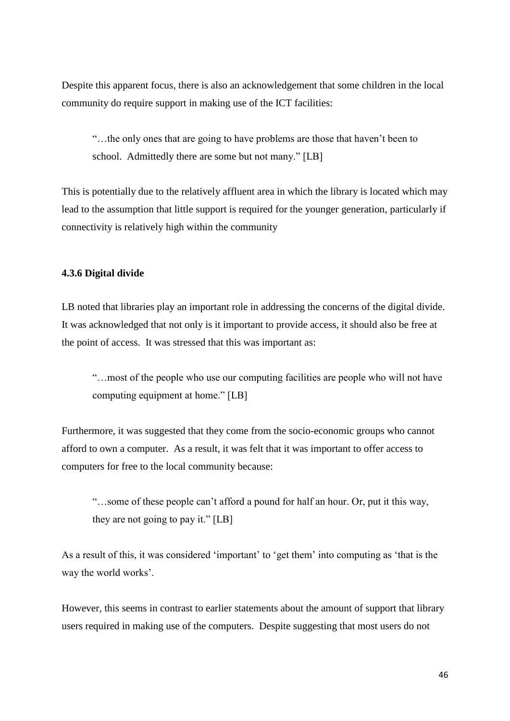Despite this apparent focus, there is also an acknowledgement that some children in the local community do require support in making use of the ICT facilities:

"…the only ones that are going to have problems are those that haven't been to school. Admittedly there are some but not many." [LB]

This is potentially due to the relatively affluent area in which the library is located which may lead to the assumption that little support is required for the younger generation, particularly if connectivity is relatively high within the community

## <span id="page-45-0"></span>**4.3.6 Digital divide**

LB noted that libraries play an important role in addressing the concerns of the digital divide. It was acknowledged that not only is it important to provide access, it should also be free at the point of access. It was stressed that this was important as:

"…most of the people who use our computing facilities are people who will not have computing equipment at home." [LB]

Furthermore, it was suggested that they come from the socio-economic groups who cannot afford to own a computer. As a result, it was felt that it was important to offer access to computers for free to the local community because:

"…some of these people can't afford a pound for half an hour. Or, put it this way, they are not going to pay it." [LB]

As a result of this, it was considered 'important' to 'get them' into computing as 'that is the way the world works'.

However, this seems in contrast to earlier statements about the amount of support that library users required in making use of the computers. Despite suggesting that most users do not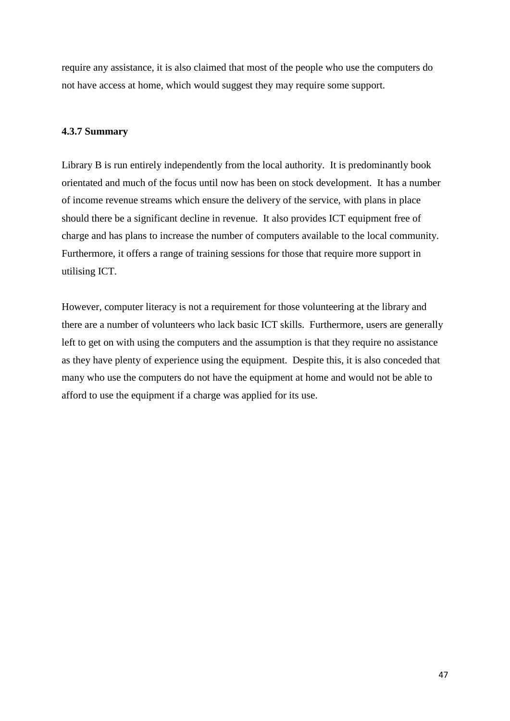require any assistance, it is also claimed that most of the people who use the computers do not have access at home, which would suggest they may require some support.

### <span id="page-46-0"></span>**4.3.7 Summary**

Library B is run entirely independently from the local authority. It is predominantly book orientated and much of the focus until now has been on stock development. It has a number of income revenue streams which ensure the delivery of the service, with plans in place should there be a significant decline in revenue. It also provides ICT equipment free of charge and has plans to increase the number of computers available to the local community. Furthermore, it offers a range of training sessions for those that require more support in utilising ICT.

However, computer literacy is not a requirement for those volunteering at the library and there are a number of volunteers who lack basic ICT skills. Furthermore, users are generally left to get on with using the computers and the assumption is that they require no assistance as they have plenty of experience using the equipment. Despite this, it is also conceded that many who use the computers do not have the equipment at home and would not be able to afford to use the equipment if a charge was applied for its use.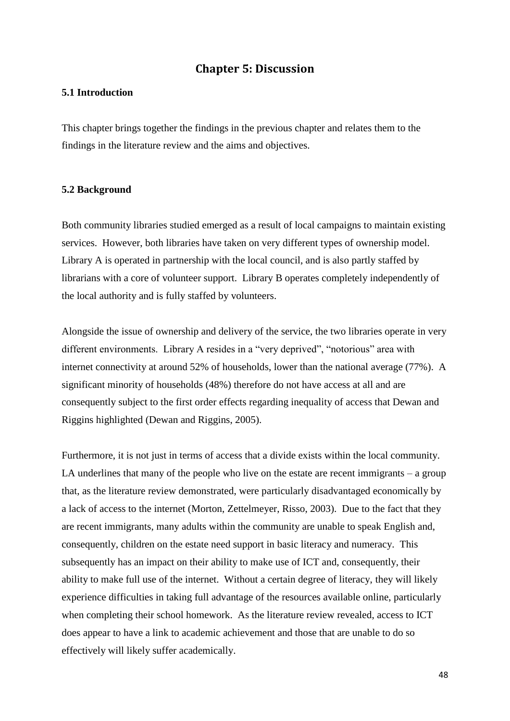## **Chapter 5: Discussion**

## <span id="page-47-1"></span><span id="page-47-0"></span>**5.1 Introduction**

This chapter brings together the findings in the previous chapter and relates them to the findings in the literature review and the aims and objectives.

#### <span id="page-47-2"></span>**5.2 Background**

Both community libraries studied emerged as a result of local campaigns to maintain existing services. However, both libraries have taken on very different types of ownership model. Library A is operated in partnership with the local council, and is also partly staffed by librarians with a core of volunteer support. Library B operates completely independently of the local authority and is fully staffed by volunteers.

Alongside the issue of ownership and delivery of the service, the two libraries operate in very different environments. Library A resides in a "very deprived", "notorious" area with internet connectivity at around 52% of households, lower than the national average (77%). A significant minority of households (48%) therefore do not have access at all and are consequently subject to the first order effects regarding inequality of access that Dewan and Riggins highlighted (Dewan and Riggins, 2005).

Furthermore, it is not just in terms of access that a divide exists within the local community. LA underlines that many of the people who live on the estate are recent immigrants  $-$  a group that, as the literature review demonstrated, were particularly disadvantaged economically by a lack of access to the internet (Morton, Zettelmeyer, Risso, 2003). Due to the fact that they are recent immigrants, many adults within the community are unable to speak English and, consequently, children on the estate need support in basic literacy and numeracy. This subsequently has an impact on their ability to make use of ICT and, consequently, their ability to make full use of the internet. Without a certain degree of literacy, they will likely experience difficulties in taking full advantage of the resources available online, particularly when completing their school homework. As the literature review revealed, access to ICT does appear to have a link to academic achievement and those that are unable to do so effectively will likely suffer academically.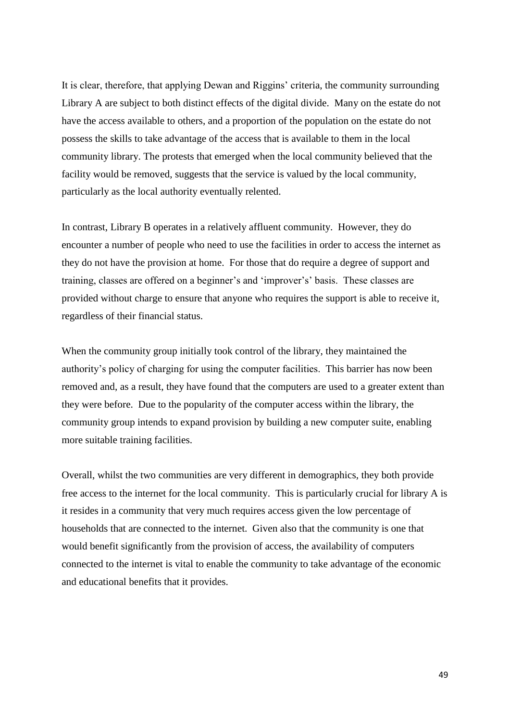It is clear, therefore, that applying Dewan and Riggins' criteria, the community surrounding Library A are subject to both distinct effects of the digital divide. Many on the estate do not have the access available to others, and a proportion of the population on the estate do not possess the skills to take advantage of the access that is available to them in the local community library. The protests that emerged when the local community believed that the facility would be removed, suggests that the service is valued by the local community, particularly as the local authority eventually relented.

In contrast, Library B operates in a relatively affluent community. However, they do encounter a number of people who need to use the facilities in order to access the internet as they do not have the provision at home. For those that do require a degree of support and training, classes are offered on a beginner's and 'improver's' basis. These classes are provided without charge to ensure that anyone who requires the support is able to receive it, regardless of their financial status.

When the community group initially took control of the library, they maintained the authority's policy of charging for using the computer facilities. This barrier has now been removed and, as a result, they have found that the computers are used to a greater extent than they were before. Due to the popularity of the computer access within the library, the community group intends to expand provision by building a new computer suite, enabling more suitable training facilities.

Overall, whilst the two communities are very different in demographics, they both provide free access to the internet for the local community. This is particularly crucial for library A is it resides in a community that very much requires access given the low percentage of households that are connected to the internet. Given also that the community is one that would benefit significantly from the provision of access, the availability of computers connected to the internet is vital to enable the community to take advantage of the economic and educational benefits that it provides.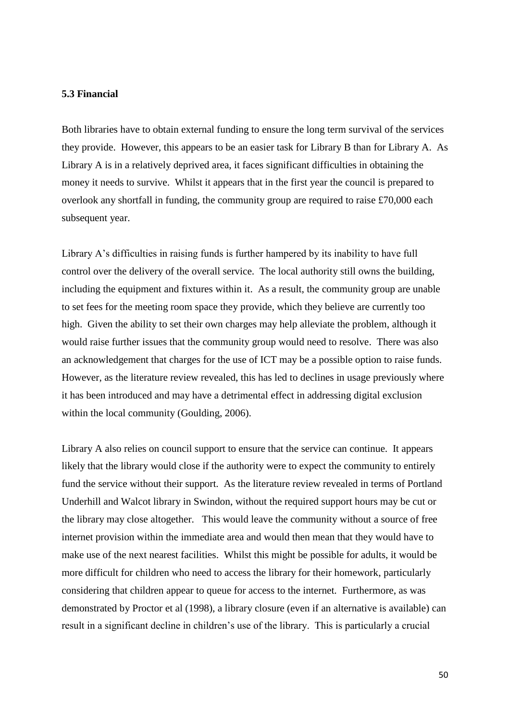#### <span id="page-49-0"></span>**5.3 Financial**

Both libraries have to obtain external funding to ensure the long term survival of the services they provide. However, this appears to be an easier task for Library B than for Library A. As Library A is in a relatively deprived area, it faces significant difficulties in obtaining the money it needs to survive. Whilst it appears that in the first year the council is prepared to overlook any shortfall in funding, the community group are required to raise £70,000 each subsequent year.

Library A's difficulties in raising funds is further hampered by its inability to have full control over the delivery of the overall service. The local authority still owns the building, including the equipment and fixtures within it. As a result, the community group are unable to set fees for the meeting room space they provide, which they believe are currently too high. Given the ability to set their own charges may help alleviate the problem, although it would raise further issues that the community group would need to resolve. There was also an acknowledgement that charges for the use of ICT may be a possible option to raise funds. However, as the literature review revealed, this has led to declines in usage previously where it has been introduced and may have a detrimental effect in addressing digital exclusion within the local community (Goulding, 2006).

Library A also relies on council support to ensure that the service can continue. It appears likely that the library would close if the authority were to expect the community to entirely fund the service without their support. As the literature review revealed in terms of Portland Underhill and Walcot library in Swindon, without the required support hours may be cut or the library may close altogether. This would leave the community without a source of free internet provision within the immediate area and would then mean that they would have to make use of the next nearest facilities. Whilst this might be possible for adults, it would be more difficult for children who need to access the library for their homework, particularly considering that children appear to queue for access to the internet. Furthermore, as was demonstrated by Proctor et al (1998), a library closure (even if an alternative is available) can result in a significant decline in children's use of the library. This is particularly a crucial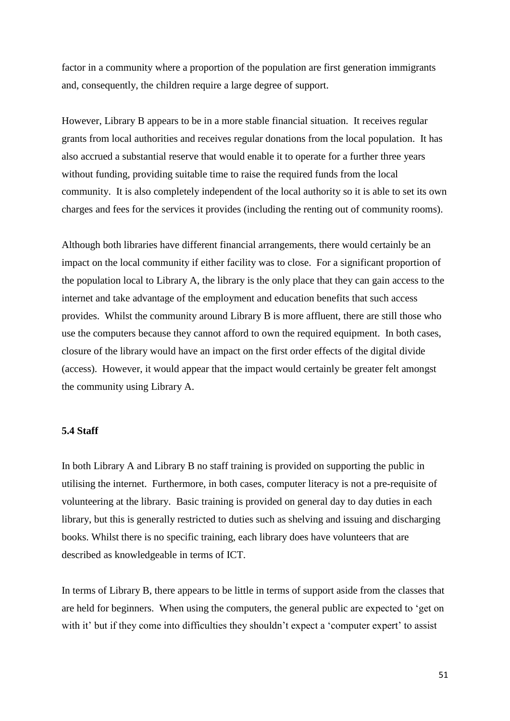factor in a community where a proportion of the population are first generation immigrants and, consequently, the children require a large degree of support.

However, Library B appears to be in a more stable financial situation. It receives regular grants from local authorities and receives regular donations from the local population. It has also accrued a substantial reserve that would enable it to operate for a further three years without funding, providing suitable time to raise the required funds from the local community. It is also completely independent of the local authority so it is able to set its own charges and fees for the services it provides (including the renting out of community rooms).

Although both libraries have different financial arrangements, there would certainly be an impact on the local community if either facility was to close. For a significant proportion of the population local to Library A, the library is the only place that they can gain access to the internet and take advantage of the employment and education benefits that such access provides. Whilst the community around Library B is more affluent, there are still those who use the computers because they cannot afford to own the required equipment. In both cases, closure of the library would have an impact on the first order effects of the digital divide (access). However, it would appear that the impact would certainly be greater felt amongst the community using Library A.

#### <span id="page-50-0"></span>**5.4 Staff**

In both Library A and Library B no staff training is provided on supporting the public in utilising the internet. Furthermore, in both cases, computer literacy is not a pre-requisite of volunteering at the library. Basic training is provided on general day to day duties in each library, but this is generally restricted to duties such as shelving and issuing and discharging books. Whilst there is no specific training, each library does have volunteers that are described as knowledgeable in terms of ICT.

In terms of Library B, there appears to be little in terms of support aside from the classes that are held for beginners. When using the computers, the general public are expected to 'get on with it' but if they come into difficulties they shouldn't expect a 'computer expert' to assist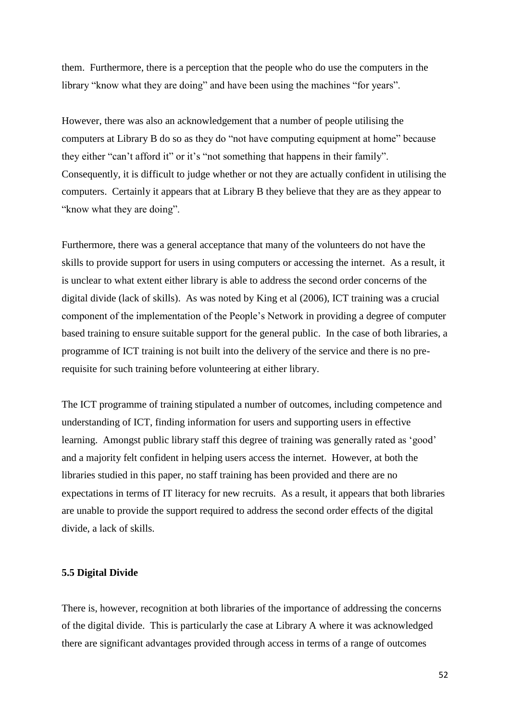them. Furthermore, there is a perception that the people who do use the computers in the library "know what they are doing" and have been using the machines "for years".

However, there was also an acknowledgement that a number of people utilising the computers at Library B do so as they do "not have computing equipment at home" because they either "can't afford it" or it's "not something that happens in their family". Consequently, it is difficult to judge whether or not they are actually confident in utilising the computers. Certainly it appears that at Library B they believe that they are as they appear to "know what they are doing".

Furthermore, there was a general acceptance that many of the volunteers do not have the skills to provide support for users in using computers or accessing the internet. As a result, it is unclear to what extent either library is able to address the second order concerns of the digital divide (lack of skills). As was noted by King et al (2006), ICT training was a crucial component of the implementation of the People's Network in providing a degree of computer based training to ensure suitable support for the general public. In the case of both libraries, a programme of ICT training is not built into the delivery of the service and there is no prerequisite for such training before volunteering at either library.

The ICT programme of training stipulated a number of outcomes, including competence and understanding of ICT, finding information for users and supporting users in effective learning. Amongst public library staff this degree of training was generally rated as 'good' and a majority felt confident in helping users access the internet. However, at both the libraries studied in this paper, no staff training has been provided and there are no expectations in terms of IT literacy for new recruits. As a result, it appears that both libraries are unable to provide the support required to address the second order effects of the digital divide, a lack of skills.

#### <span id="page-51-0"></span>**5.5 Digital Divide**

There is, however, recognition at both libraries of the importance of addressing the concerns of the digital divide. This is particularly the case at Library A where it was acknowledged there are significant advantages provided through access in terms of a range of outcomes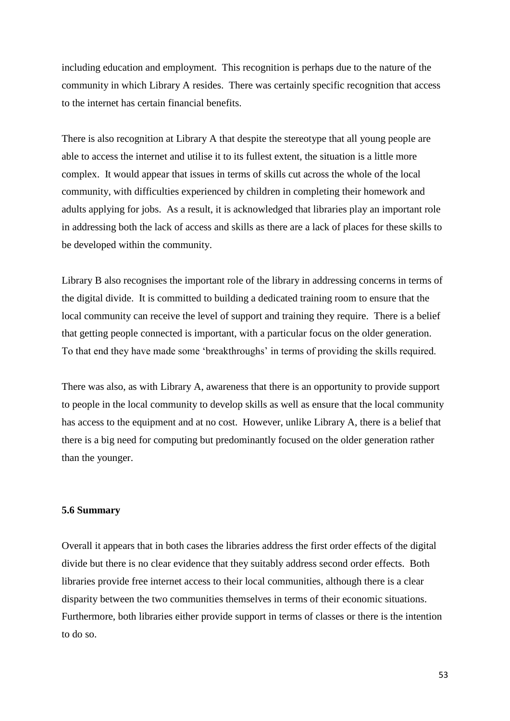including education and employment. This recognition is perhaps due to the nature of the community in which Library A resides. There was certainly specific recognition that access to the internet has certain financial benefits.

There is also recognition at Library A that despite the stereotype that all young people are able to access the internet and utilise it to its fullest extent, the situation is a little more complex. It would appear that issues in terms of skills cut across the whole of the local community, with difficulties experienced by children in completing their homework and adults applying for jobs. As a result, it is acknowledged that libraries play an important role in addressing both the lack of access and skills as there are a lack of places for these skills to be developed within the community.

Library B also recognises the important role of the library in addressing concerns in terms of the digital divide. It is committed to building a dedicated training room to ensure that the local community can receive the level of support and training they require. There is a belief that getting people connected is important, with a particular focus on the older generation. To that end they have made some 'breakthroughs' in terms of providing the skills required.

There was also, as with Library A, awareness that there is an opportunity to provide support to people in the local community to develop skills as well as ensure that the local community has access to the equipment and at no cost. However, unlike Library A, there is a belief that there is a big need for computing but predominantly focused on the older generation rather than the younger.

#### <span id="page-52-0"></span>**5.6 Summary**

Overall it appears that in both cases the libraries address the first order effects of the digital divide but there is no clear evidence that they suitably address second order effects. Both libraries provide free internet access to their local communities, although there is a clear disparity between the two communities themselves in terms of their economic situations. Furthermore, both libraries either provide support in terms of classes or there is the intention to do so.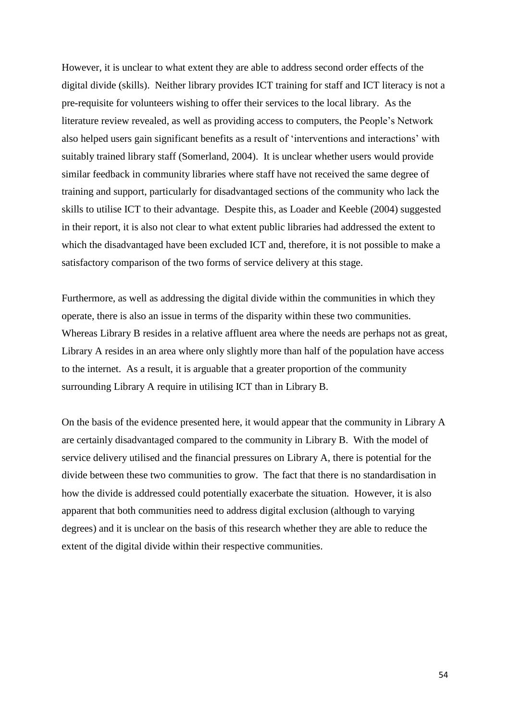However, it is unclear to what extent they are able to address second order effects of the digital divide (skills). Neither library provides ICT training for staff and ICT literacy is not a pre-requisite for volunteers wishing to offer their services to the local library. As the literature review revealed, as well as providing access to computers, the People's Network also helped users gain significant benefits as a result of 'interventions and interactions' with suitably trained library staff (Somerland, 2004). It is unclear whether users would provide similar feedback in community libraries where staff have not received the same degree of training and support, particularly for disadvantaged sections of the community who lack the skills to utilise ICT to their advantage. Despite this, as Loader and Keeble (2004) suggested in their report, it is also not clear to what extent public libraries had addressed the extent to which the disadvantaged have been excluded ICT and, therefore, it is not possible to make a satisfactory comparison of the two forms of service delivery at this stage.

Furthermore, as well as addressing the digital divide within the communities in which they operate, there is also an issue in terms of the disparity within these two communities. Whereas Library B resides in a relative affluent area where the needs are perhaps not as great, Library A resides in an area where only slightly more than half of the population have access to the internet. As a result, it is arguable that a greater proportion of the community surrounding Library A require in utilising ICT than in Library B.

On the basis of the evidence presented here, it would appear that the community in Library A are certainly disadvantaged compared to the community in Library B. With the model of service delivery utilised and the financial pressures on Library A, there is potential for the divide between these two communities to grow. The fact that there is no standardisation in how the divide is addressed could potentially exacerbate the situation. However, it is also apparent that both communities need to address digital exclusion (although to varying degrees) and it is unclear on the basis of this research whether they are able to reduce the extent of the digital divide within their respective communities.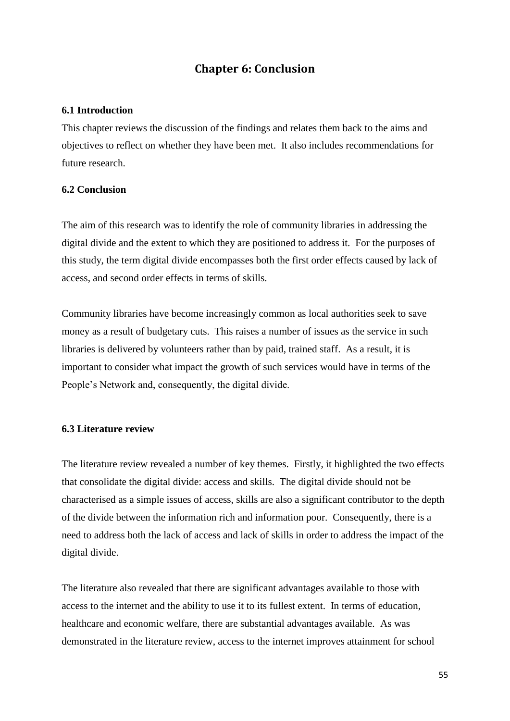# **Chapter 6: Conclusion**

#### <span id="page-54-1"></span><span id="page-54-0"></span>**6.1 Introduction**

This chapter reviews the discussion of the findings and relates them back to the aims and objectives to reflect on whether they have been met. It also includes recommendations for future research.

#### <span id="page-54-2"></span>**6.2 Conclusion**

The aim of this research was to identify the role of community libraries in addressing the digital divide and the extent to which they are positioned to address it. For the purposes of this study, the term digital divide encompasses both the first order effects caused by lack of access, and second order effects in terms of skills.

Community libraries have become increasingly common as local authorities seek to save money as a result of budgetary cuts. This raises a number of issues as the service in such libraries is delivered by volunteers rather than by paid, trained staff. As a result, it is important to consider what impact the growth of such services would have in terms of the People's Network and, consequently, the digital divide.

## <span id="page-54-3"></span>**6.3 Literature review**

The literature review revealed a number of key themes. Firstly, it highlighted the two effects that consolidate the digital divide: access and skills. The digital divide should not be characterised as a simple issues of access, skills are also a significant contributor to the depth of the divide between the information rich and information poor. Consequently, there is a need to address both the lack of access and lack of skills in order to address the impact of the digital divide.

The literature also revealed that there are significant advantages available to those with access to the internet and the ability to use it to its fullest extent. In terms of education, healthcare and economic welfare, there are substantial advantages available. As was demonstrated in the literature review, access to the internet improves attainment for school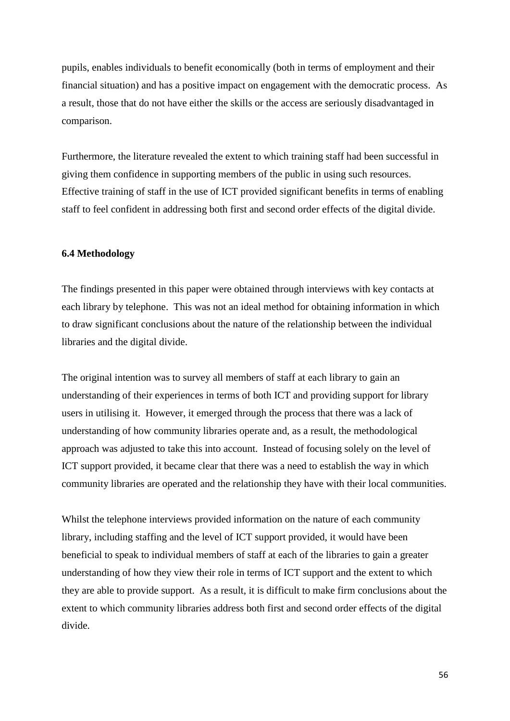pupils, enables individuals to benefit economically (both in terms of employment and their financial situation) and has a positive impact on engagement with the democratic process. As a result, those that do not have either the skills or the access are seriously disadvantaged in comparison.

Furthermore, the literature revealed the extent to which training staff had been successful in giving them confidence in supporting members of the public in using such resources. Effective training of staff in the use of ICT provided significant benefits in terms of enabling staff to feel confident in addressing both first and second order effects of the digital divide.

#### <span id="page-55-0"></span>**6.4 Methodology**

The findings presented in this paper were obtained through interviews with key contacts at each library by telephone. This was not an ideal method for obtaining information in which to draw significant conclusions about the nature of the relationship between the individual libraries and the digital divide.

The original intention was to survey all members of staff at each library to gain an understanding of their experiences in terms of both ICT and providing support for library users in utilising it. However, it emerged through the process that there was a lack of understanding of how community libraries operate and, as a result, the methodological approach was adjusted to take this into account. Instead of focusing solely on the level of ICT support provided, it became clear that there was a need to establish the way in which community libraries are operated and the relationship they have with their local communities.

Whilst the telephone interviews provided information on the nature of each community library, including staffing and the level of ICT support provided, it would have been beneficial to speak to individual members of staff at each of the libraries to gain a greater understanding of how they view their role in terms of ICT support and the extent to which they are able to provide support. As a result, it is difficult to make firm conclusions about the extent to which community libraries address both first and second order effects of the digital divide.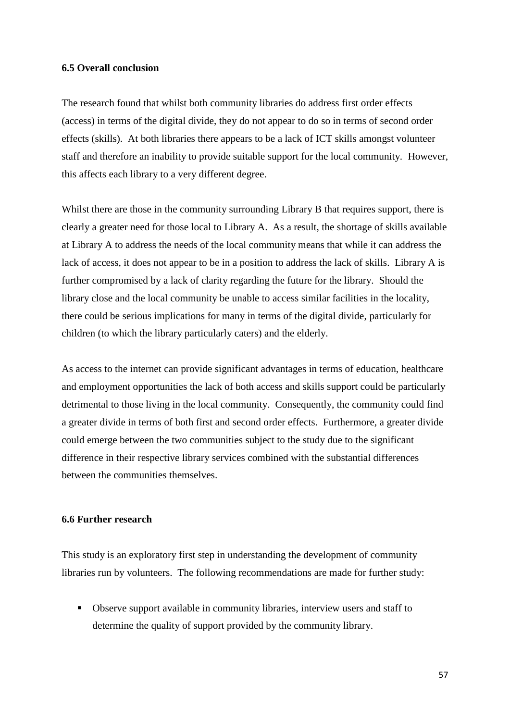#### <span id="page-56-0"></span>**6.5 Overall conclusion**

The research found that whilst both community libraries do address first order effects (access) in terms of the digital divide, they do not appear to do so in terms of second order effects (skills). At both libraries there appears to be a lack of ICT skills amongst volunteer staff and therefore an inability to provide suitable support for the local community. However, this affects each library to a very different degree.

Whilst there are those in the community surrounding Library B that requires support, there is clearly a greater need for those local to Library A. As a result, the shortage of skills available at Library A to address the needs of the local community means that while it can address the lack of access, it does not appear to be in a position to address the lack of skills. Library A is further compromised by a lack of clarity regarding the future for the library. Should the library close and the local community be unable to access similar facilities in the locality, there could be serious implications for many in terms of the digital divide, particularly for children (to which the library particularly caters) and the elderly.

As access to the internet can provide significant advantages in terms of education, healthcare and employment opportunities the lack of both access and skills support could be particularly detrimental to those living in the local community. Consequently, the community could find a greater divide in terms of both first and second order effects. Furthermore, a greater divide could emerge between the two communities subject to the study due to the significant difference in their respective library services combined with the substantial differences between the communities themselves.

#### <span id="page-56-1"></span>**6.6 Further research**

This study is an exploratory first step in understanding the development of community libraries run by volunteers. The following recommendations are made for further study:

 Observe support available in community libraries, interview users and staff to determine the quality of support provided by the community library.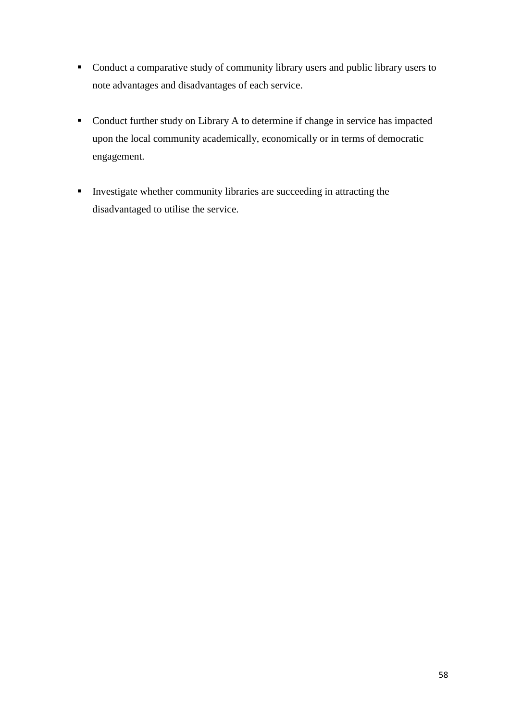- Conduct a comparative study of community library users and public library users to note advantages and disadvantages of each service.
- Conduct further study on Library A to determine if change in service has impacted upon the local community academically, economically or in terms of democratic engagement.
- Investigate whether community libraries are succeeding in attracting the disadvantaged to utilise the service.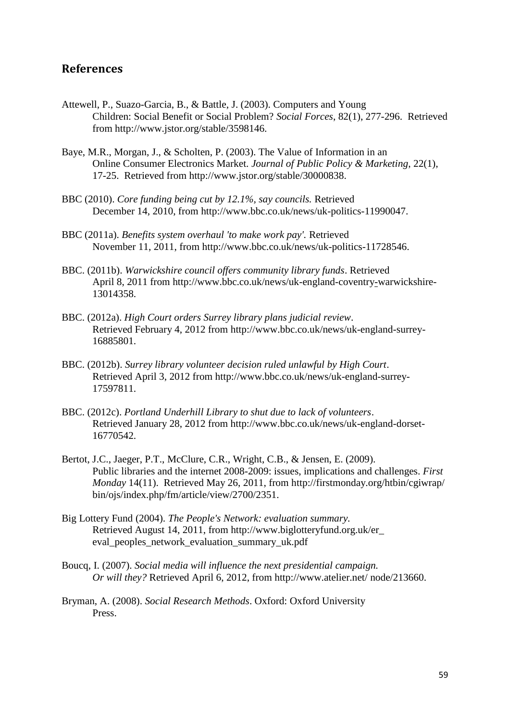## <span id="page-58-0"></span>**References**

- Attewell, P., Suazo-Garcia, B., & Battle, J. (2003). Computers and Young Children: Social Benefit or Social Problem? *Social Forces*, 82(1), 277-296. Retrieved from http://www.jstor.org/stable/3598146.
- Baye, M.R., Morgan, J., & Scholten, P. (2003). The Value of Information in an Online Consumer Electronics Market. *Journal of Public Policy & Marketing*, 22(1), 17-25. Retrieved from http://www.jstor.org/stable/30000838.
- BBC (2010). *Core funding being cut by 12.1%, say councils.* Retrieved December 14, 2010, from http://www.bbc.co.uk/news/uk-politics-11990047.
- BBC (2011a). *Benefits system overhaul 'to make work pay'.* Retrieved November 11, 2011, from http://www.bbc.co.uk/news/uk-politics-11728546.
- BBC. (2011b). *Warwickshire council offers community library funds*. Retrieved April 8, 2011 from http://www.bbc.co.uk/news/uk-england-coventry-warwickshire-13014358.
- BBC. (2012a). *High Court orders Surrey library plans judicial review*. Retrieved February 4, 2012 from http://www.bbc.co.uk/news/uk-england-surrey-16885801.
- BBC. (2012b). *Surrey library volunteer decision ruled unlawful by High Court*. Retrieved April 3, 2012 from http://www.bbc.co.uk/news/uk-england-surrey-17597811.
- BBC. (2012c). *Portland Underhill Library to shut due to lack of volunteers*. Retrieved January 28, 2012 from http://www.bbc.co.uk/news/uk-england-dorset-16770542.
- Bertot, J.C., Jaeger, P.T., McClure, C.R., Wright, C.B., & Jensen, E. (2009). Public libraries and the internet 2008-2009: issues, implications and challenges. *First Monday* 14(11). Retrieved May 26, 2011, from http://firstmonday.org/htbin/cgiwrap/ bin/ojs/index.php/fm/article/view/2700/2351.
- Big Lottery Fund (2004). *The People's Network: evaluation summary.* Retrieved August 14, 2011, from http://www.biglotteryfund.org.uk/er\_ eval\_peoples\_network\_evaluation\_summary\_uk.pdf
- Boucq, I. (2007). *Social media will influence the next presidential campaign. Or will they?* Retrieved April 6, 2012, from http://www.atelier.net/ node/213660.
- Bryman, A. (2008). *Social Research Methods*. Oxford: Oxford University Press.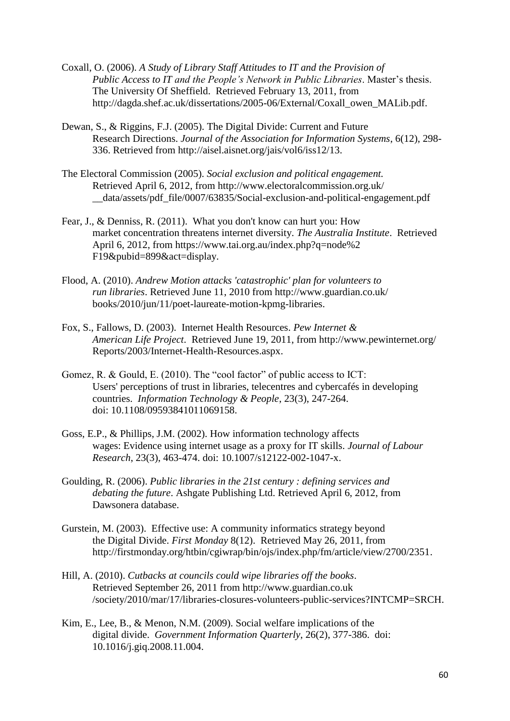- Coxall, O. (2006). *A Study of Library Staff Attitudes to IT and the Provision of Public Access to IT and the People's Network in Public Libraries*. Master's thesis. The University Of Sheffield. Retrieved February 13, 2011, from http://dagda.shef.ac.uk/dissertations/2005-06/External/Coxall\_owen\_MALib.pdf.
- Dewan, S., & Riggins, F.J. (2005). The Digital Divide: Current and Future Research Directions. *Journal of the Association for Information Systems*, 6(12), 298- 336. Retrieved from http://aisel.aisnet.org/jais/vol6/iss12/13.
- The Electoral Commission (2005). *Social exclusion and political engagement.* Retrieved April 6, 2012, from http://www.electoralcommission.org.uk/ \_\_data/assets/pdf\_file/0007/63835/Social-exclusion-and-political-engagement.pdf
- Fear, J., & Denniss, R. (2011). What you don't know can hurt you: How market concentration threatens internet diversity. *The Australia Institute*. Retrieved April 6, 2012, from https://www.tai.org.au/index.php?q=node%2 F19&pubid=899&act=display.
- Flood, A. (2010). *Andrew Motion attacks 'catastrophic' plan for volunteers to run libraries*. Retrieved June 11, 2010 from http://www.guardian.co.uk/ books/2010/jun/11/poet-laureate-motion-kpmg-libraries.
- Fox, S., Fallows, D. (2003). Internet Health Resources. *Pew Internet & American Life Project*. Retrieved June 19, 2011, from http://www.pewinternet.org/ Reports/2003/Internet-Health-Resources.aspx.
- Gomez, R. & Gould, E. (2010). The "cool factor" of public access to ICT: Users' perceptions of trust in libraries, telecentres and cybercafés in developing countries. *Information Technology & People*, 23(3), 247-264. doi: 10.1108/09593841011069158.
- Goss, E.P., & Phillips, J.M. (2002). How information technology affects wages: Evidence using internet usage as a proxy for IT skills. *Journal of Labour Research*, 23(3), 463-474. doi: 10.1007/s12122-002-1047-x.
- Goulding, R. (2006). *Public libraries in the 21st century : defining services and debating the future*. Ashgate Publishing Ltd. Retrieved April 6, 2012, from Dawsonera database.
- Gurstein, M. (2003). Effective use: A community informatics strategy beyond the Digital Divide. *First Monday* 8(12). Retrieved May 26, 2011, from http://firstmonday.org/htbin/cgiwrap/bin/ojs/index.php/fm/article/view/2700/2351.
- Hill, A. (2010). *Cutbacks at councils could wipe libraries off the books*. Retrieved September 26, 2011 from http://www.guardian.co.uk /society/2010/mar/17/libraries-closures-volunteers-public-services?INTCMP=SRCH.
- Kim, E., Lee, B., & Menon, N.M. (2009). Social welfare implications of the digital divide. *Government Information Quarterly*, 26(2), 377-386. doi: 10.1016/j.giq.2008.11.004.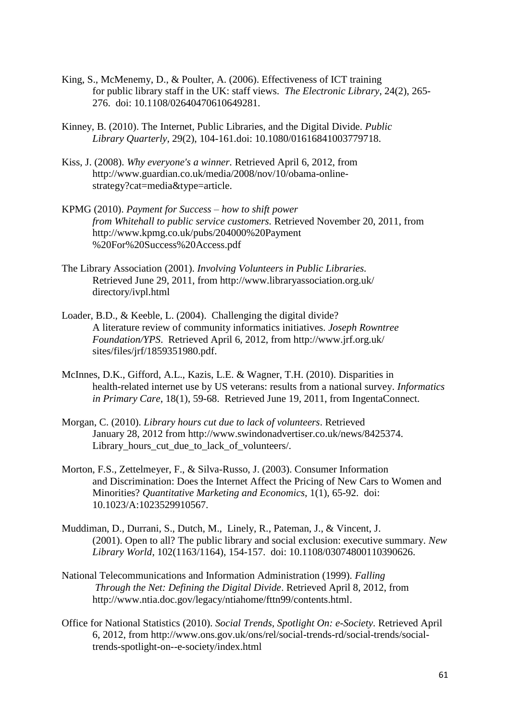- King, S., McMenemy, D., & Poulter, A. (2006). Effectiveness of ICT training for public library staff in the UK: staff views. *The Electronic Library*, 24(2), 265- 276. doi: 10.1108/02640470610649281.
- Kinney, B. (2010). The Internet, Public Libraries, and the Digital Divide. *Public Library Quarterly*, 29(2), 104-161.doi: 10.1080/01616841003779718.
- Kiss, J. (2008). *Why everyone's a winner.* Retrieved April 6, 2012, from http://www.guardian.co.uk/media/2008/nov/10/obama-onlinestrategy?cat=media&type=article.
- KPMG (2010). *Payment for Success – how to shift power from Whitehall to public service customers.* Retrieved November 20, 2011, from http://www.kpmg.co.uk/pubs/204000%20Payment %20For%20Success%20Access.pdf
- The Library Association (2001). *Involving Volunteers in Public Libraries.* Retrieved June 29, 2011, from http://www.libraryassociation.org.uk/ directory/ivpl.html
- Loader, B.D., & Keeble, L. (2004). Challenging the digital divide? A literature review of community informatics initiatives. *Joseph Rowntree Foundation/YPS*. Retrieved April 6, 2012, from http://www.jrf.org.uk/ sites/files/jrf/1859351980.pdf.
- McInnes, D.K., Gifford, A.L., Kazis, L.E. & Wagner, T.H. (2010). Disparities in health-related internet use by US veterans: results from a national survey. *Informatics in Primary Care*, 18(1), 59-68. Retrieved June 19, 2011, from IngentaConnect.
- Morgan, C. (2010). *Library hours cut due to lack of volunteers*. Retrieved January 28, 2012 from http://www.swindonadvertiser.co.uk/news/8425374. Library\_hours\_cut\_due\_to\_lack\_of\_volunteers/.
- Morton, F.S., Zettelmeyer, F., & Silva-Russo, J. (2003). Consumer Information and Discrimination: Does the Internet Affect the Pricing of New Cars to Women and Minorities? *Quantitative Marketing and Economics*, 1(1), 65-92. doi: 10.1023/A:1023529910567.
- Muddiman, D., Durrani, S., Dutch, M., Linely, R., Pateman, J., & Vincent, J. (2001). Open to all? The public library and social exclusion: executive summary. *New Library World*, 102(1163/1164), 154-157. doi: 10.1108/03074800110390626.
- National Telecommunications and Information Administration (1999). *Falling Through the Net: Defining the Digital Divide*. Retrieved April 8, 2012, from http://www.ntia.doc.gov/legacy/ntiahome/fttn99/contents.html.
- Office for National Statistics (2010). *Social Trends, Spotlight On: e-Society.* Retrieved April 6, 2012, from http://www.ons.gov.uk/ons/rel/social-trends-rd/social-trends/socialtrends-spotlight-on--e-society/index.html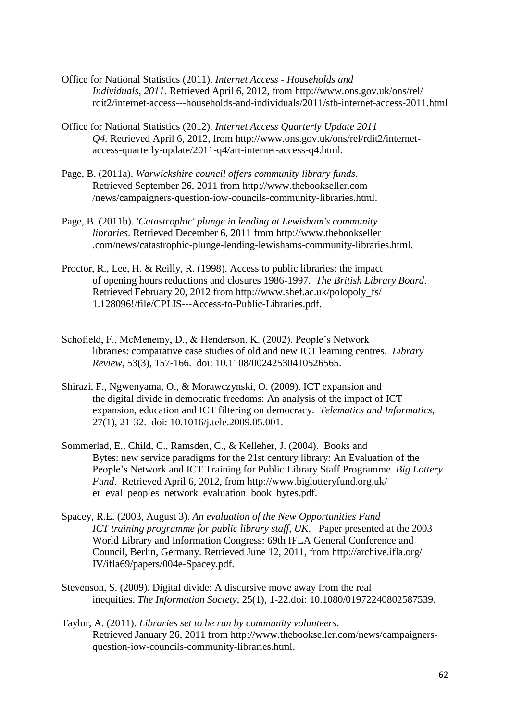- Office for National Statistics (2011). *Internet Access - Households and Individuals, 2011.* Retrieved April 6, 2012, from http://www.ons.gov.uk/ons/rel/ rdit2/internet-access---households-and-individuals/2011/stb-internet-access-2011.html
- Office for National Statistics (2012). *Internet Access Quarterly Update 2011 Q4.* Retrieved April 6, 2012, from http://www.ons.gov.uk/ons/rel/rdit2/internetaccess-quarterly-update/2011-q4/art-internet-access-q4.html.
- Page, B. (2011a). *Warwickshire council offers community library funds*. Retrieved September 26, 2011 from http://www.thebookseller.com /news/campaigners-question-iow-councils-community-libraries.html.
- Page, B. (2011b). *'Catastrophic' plunge in lending at Lewisham's community libraries*. Retrieved December 6, 2011 from http://www.thebookseller .com/news/catastrophic-plunge-lending-lewishams-community-libraries.html.
- Proctor, R., Lee, H. & Reilly, R. (1998). Access to public libraries: the impact of opening hours reductions and closures 1986-1997. *The British Library Board*. Retrieved February 20, 2012 from http://www.shef.ac.uk/polopoly\_fs/ 1.128096!/file/CPLIS---Access-to-Public-Libraries.pdf.
- Schofield, F., McMenemy, D., & Henderson, K. (2002). People's Network libraries: comparative case studies of old and new ICT learning centres. *Library Review*, 53(3), 157-166. doi: 10.1108/00242530410526565.
- Shirazi, F., Ngwenyama, O., & Morawczynski, O. (2009). ICT expansion and the digital divide in democratic freedoms: An analysis of the impact of ICT expansion, education and ICT filtering on democracy. *Telematics and Informatics*, 27(1), 21-32. doi: 10.1016/j.tele.2009.05.001.
- Sommerlad, E., Child, C., Ramsden, C., & Kelleher, J. (2004). Books and Bytes: new service paradigms for the 21st century library: An Evaluation of the People's Network and ICT Training for Public Library Staff Programme. *Big Lottery Fund*. Retrieved April 6, 2012, from http://www.biglotteryfund.org.uk/ er\_eval\_peoples\_network\_evaluation\_book\_bytes.pdf.
- Spacey, R.E. (2003, August 3). *An evaluation of the New Opportunities Fund ICT training programme for public library staff, UK*. Paper presented at the 2003 World Library and Information Congress: 69th IFLA General Conference and Council, Berlin, Germany. Retrieved June 12, 2011, from http://archive.ifla.org/ IV/ifla69/papers/004e-Spacey.pdf.
- Stevenson, S. (2009). Digital divide: A discursive move away from the real inequities. *The Information Society*, 25(1), 1-22.doi: 10.1080/01972240802587539.
- Taylor, A. (2011). *Libraries set to be run by community volunteers*. Retrieved January 26, 2011 from http://www.thebookseller.com/news/campaignersquestion-iow-councils-community-libraries.html.